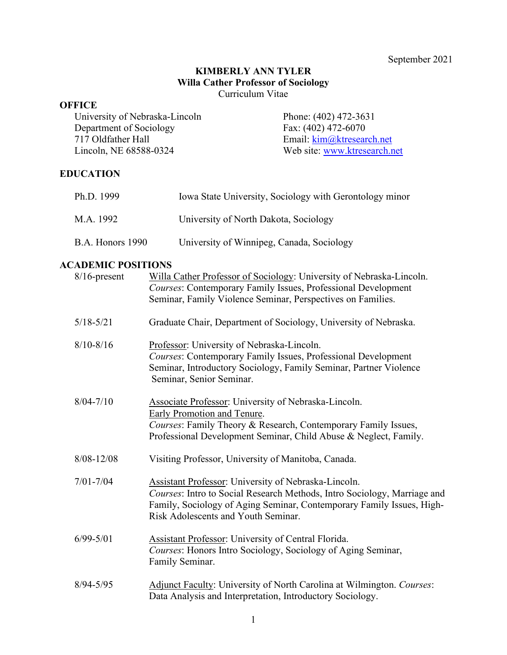September 2021

#### **KIMBERLY ANN TYLER Willa Cather Professor of Sociology** Curriculum Vitae

#### **OFFICE**

University of Nebraska-Lincoln Department of Sociology 717 Oldfather Hall Lincoln, NE 68588-0324

Phone: (402) 472-3631 Fax: (402) 472-6070 Email: [kim@ktresearch.net](mailto:kim@ktresearch.net) Web site: [www.ktresearch.net](http://www.ktresearch.net/)

# **EDUCATION**

| Ph.D. 1999       | Iowa State University, Sociology with Gerontology minor |
|------------------|---------------------------------------------------------|
| M.A. 1992        | University of North Dakota, Sociology                   |
| B.A. Honors 1990 | University of Winnipeg, Canada, Sociology               |

# **ACADEMIC POSITIONS**

| $8/16$ -present | Willa Cather Professor of Sociology: University of Nebraska-Lincoln.<br>Courses: Contemporary Family Issues, Professional Development<br>Seminar, Family Violence Seminar, Perspectives on Families.                                             |
|-----------------|--------------------------------------------------------------------------------------------------------------------------------------------------------------------------------------------------------------------------------------------------|
| $5/18 - 5/21$   | Graduate Chair, Department of Sociology, University of Nebraska.                                                                                                                                                                                 |
| $8/10 - 8/16$   | Professor: University of Nebraska-Lincoln.<br>Courses: Contemporary Family Issues, Professional Development<br>Seminar, Introductory Sociology, Family Seminar, Partner Violence<br>Seminar, Senior Seminar.                                     |
| $8/04 - 7/10$   | Associate Professor: University of Nebraska-Lincoln.<br>Early Promotion and Tenure.<br>Courses: Family Theory & Research, Contemporary Family Issues,<br>Professional Development Seminar, Child Abuse & Neglect, Family.                        |
| $8/08 - 12/08$  | Visiting Professor, University of Manitoba, Canada.                                                                                                                                                                                              |
| $7/01 - 7/04$   | Assistant Professor: University of Nebraska-Lincoln.<br>Courses: Intro to Social Research Methods, Intro Sociology, Marriage and<br>Family, Sociology of Aging Seminar, Contemporary Family Issues, High-<br>Risk Adolescents and Youth Seminar. |
| $6/99 - 5/01$   | <b>Assistant Professor:</b> University of Central Florida.<br>Courses: Honors Intro Sociology, Sociology of Aging Seminar,<br>Family Seminar.                                                                                                    |
| $8/94 - 5/95$   | Adjunct Faculty: University of North Carolina at Wilmington. Courses:<br>Data Analysis and Interpretation, Introductory Sociology.                                                                                                               |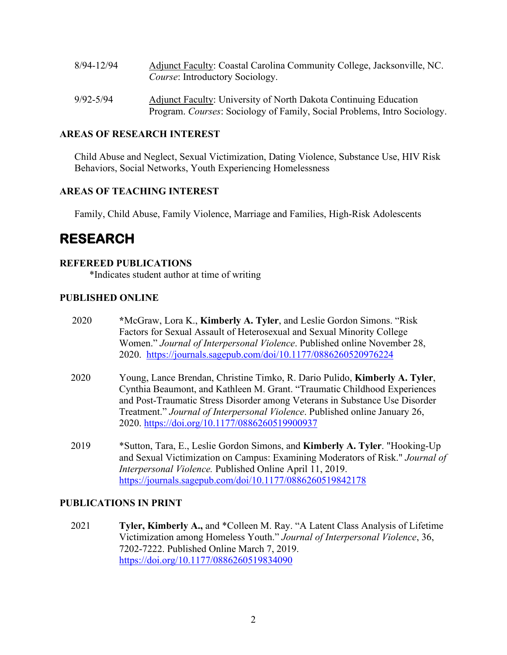| 8/94-12/94 | Adjunct Faculty: Coastal Carolina Community College, Jacksonville, NC. |
|------------|------------------------------------------------------------------------|
|            | <i>Course:</i> Introductory Sociology.                                 |
|            |                                                                        |

9/92-5/94 Adjunct Faculty: University of North Dakota Continuing Education Program. *Courses*: Sociology of Family, Social Problems, Intro Sociology.

## **AREAS OF RESEARCH INTEREST**

Child Abuse and Neglect, Sexual Victimization, Dating Violence, Substance Use, HIV Risk Behaviors, Social Networks, Youth Experiencing Homelessness

# **AREAS OF TEACHING INTEREST**

Family, Child Abuse, Family Violence, Marriage and Families, High-Risk Adolescents

# **RESEARCH**

### **REFEREED PUBLICATIONS**

\*Indicates student author at time of writing

## **PUBLISHED ONLINE**

| Factors for Sexual Assault of Heterosexual and Sexual Minority College                                                                                          |
|-----------------------------------------------------------------------------------------------------------------------------------------------------------------|
|                                                                                                                                                                 |
| Women." Journal of Interpersonal Violence. Published online November 28,                                                                                        |
| 2020. https://journals.sagepub.com/doi/10.1177/0886260520976224                                                                                                 |
| Young, Lance Brendan, Christine Timko, R. Dario Pulido, <b>Kimberly A. Tyler</b> ,<br>Cynthia Beaumont, and Kathleen M. Grant. "Traumatic Childhood Experiences |
| and Post-Traumatic Stress Disorder among Veterans in Substance Use Disorder                                                                                     |
| Treatment." Journal of Interpersonal Violence. Published online January 26,                                                                                     |
| 2020. https://doi.org/10.1177/0886260519900937                                                                                                                  |
| *Sutton, Tara, E., Leslie Gordon Simons, and <b>Kimberly A. Tyler</b> . "Hooking-Up"                                                                            |
| and Sexual Victimization on Campus: Examining Moderators of Risk." Journal of                                                                                   |
| Interpersonal Violence. Published Online April 11, 2019.                                                                                                        |
| https://journals.sagepub.com/doi/10.1177/0886260519842178                                                                                                       |
|                                                                                                                                                                 |

2021 **Tyler, Kimberly A.,** and \*Colleen M. Ray. "A Latent Class Analysis of Lifetime Victimization among Homeless Youth." *Journal of Interpersonal Violence*, 36, 7202-7222. Published Online March 7, 2019. <https://doi.org/10.1177/0886260519834090>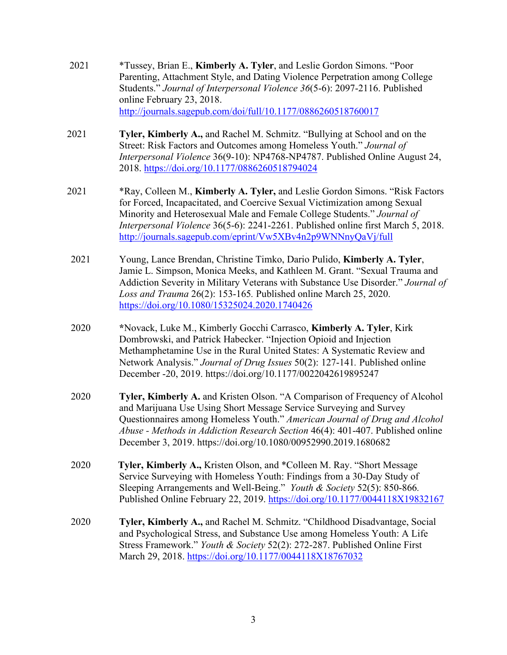- 2021 \*Tussey, Brian E., **Kimberly A. Tyler**, and Leslie Gordon Simons. "Poor Parenting, Attachment Style, and Dating Violence Perpetration among College Students." *Journal of Interpersonal Violence 36*(5-6): 2097-2116. Published online February 23, 2018. <http://journals.sagepub.com/doi/full/10.1177/0886260518760017>
- 2021 **Tyler, Kimberly A.,** and Rachel M. Schmitz. "Bullying at School and on the Street: Risk Factors and Outcomes among Homeless Youth." *Journal of Interpersonal Violence* 36(9-10): NP4768-NP4787. Published Online August 24, 2018.<https://doi.org/10.1177/0886260518794024>
- 2021 \*Ray, Colleen M., **Kimberly A. Tyler,** and Leslie Gordon Simons. "Risk Factors for Forced, Incapacitated, and Coercive Sexual Victimization among Sexual Minority and Heterosexual Male and Female College Students." *Journal of Interpersonal Violence* 36(5-6): 2241-2261. Published online first March 5, 2018. <http://journals.sagepub.com/eprint/Vw5XBv4n2p9WNNnyQaVj/full>
- 2021 Young, Lance Brendan, Christine Timko, Dario Pulido, **Kimberly A. Tyler**, Jamie L. Simpson, Monica Meeks, and Kathleen M. Grant. "Sexual Trauma and Addiction Severity in Military Veterans with Substance Use Disorder." *Journal of Loss and Trauma* 26(2): 153-165*.* Published online March 25, 2020. <https://doi.org/10.1080/15325024.2020.1740426>
- 2020 **\***Novack, Luke M., Kimberly Gocchi Carrasco, **Kimberly A. Tyler**, Kirk Dombrowski, and Patrick Habecker. "Injection Opioid and Injection Methamphetamine Use in the Rural United States: A Systematic Review and Network Analysis." *Journal of Drug Issues* 50(2): 127-141*.* Published online December -20, 2019. https://doi.org/10.1177/0022042619895247
- 2020 **Tyler, Kimberly A.** and Kristen Olson. "A Comparison of Frequency of Alcohol and Marijuana Use Using Short Message Service Surveying and Survey Questionnaires among Homeless Youth." *American Journal of Drug and Alcohol Abuse - Methods in Addiction Research Section* 46(4): 401-407. Published online December 3, 2019. https://doi.org/10.1080/00952990.2019.1680682
- 2020 **Tyler, Kimberly A.,** Kristen Olson, and \*Colleen M. Ray. "Short Message Service Surveying with Homeless Youth: Findings from a 30-Day Study of Sleeping Arrangements and Well-Being." *Youth & Society* 52(5): 850-866*.*  Published Online February 22, 2019. <https://doi.org/10.1177/0044118X19832167>
- 2020 **Tyler, Kimberly A.,** and Rachel M. Schmitz. "Childhood Disadvantage, Social and Psychological Stress, and Substance Use among Homeless Youth: A Life Stress Framework." *Youth & Society* 52(2): 272-287. Published Online First March 29, 2018.<https://doi.org/10.1177/0044118X18767032>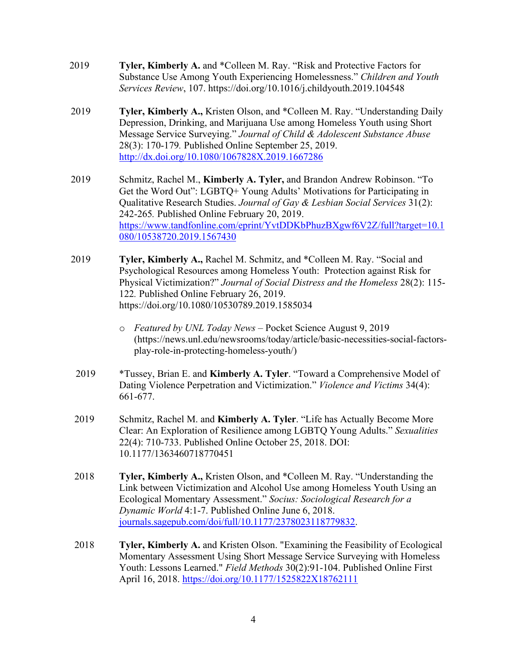- 2019 **Tyler, Kimberly A.** and \*Colleen M. Ray. "Risk and Protective Factors for Substance Use Among Youth Experiencing Homelessness." *Children and Youth Services Review*, 107. https://doi.org/10.1016/j.childyouth.2019.104548
- 2019 **Tyler, Kimberly A.,** Kristen Olson, and \*Colleen M. Ray. "Understanding Daily Depression, Drinking, and Marijuana Use among Homeless Youth using Short Message Service Surveying." *Journal of Child & Adolescent Substance Abuse* 28(3): 170-179*.* Published Online September 25, 2019. <http://dx.doi.org/10.1080/1067828X.2019.1667286>
- 2019 Schmitz, Rachel M., **Kimberly A. Tyler,** and Brandon Andrew Robinson. "To Get the Word Out": LGBTQ+ Young Adults' Motivations for Participating in Qualitative Research Studies. *Journal of Gay & Lesbian Social Services* 31(2): 242-265*.* Published Online February 20, 2019. [https://www.tandfonline.com/eprint/YvtDDKbPhuzBXgwf6V2Z/full?target=10.1](https://www.tandfonline.com/eprint/YvtDDKbPhuzBXgwf6V2Z/full?target=10.1080/10538720.2019.1567430) [080/10538720.2019.1567430](https://www.tandfonline.com/eprint/YvtDDKbPhuzBXgwf6V2Z/full?target=10.1080/10538720.2019.1567430)
- 2019 **Tyler, Kimberly A.,** Rachel M. Schmitz, and \*Colleen M. Ray. "Social and Psychological Resources among Homeless Youth: Protection against Risk for Physical Victimization?" *Journal of Social Distress and the Homeless* 28(2): 115- 122*.* Published Online February 26, 2019. https://doi.org/10.1080/10530789.2019.1585034
	- o *Featured by UNL Today News* Pocket Science August 9, 2019 (https://news.unl.edu/newsrooms/today/article/basic-necessities-social-factorsplay-role-in-protecting-homeless-youth/)
- 2019 \*Tussey, Brian E. and **Kimberly A. Tyler**. "Toward a Comprehensive Model of Dating Violence Perpetration and Victimization." *Violence and Victims* 34(4): 661-677.
- 2019 Schmitz, Rachel M. and **Kimberly A. Tyler**. "Life has Actually Become More Clear: An Exploration of Resilience among LGBTQ Young Adults." *Sexualities* 22(4): 710-733. Published Online October 25, 2018. DOI: 10.1177/1363460718770451
- 2018 **Tyler, Kimberly A.,** Kristen Olson, and \*Colleen M. Ray. "Understanding the Link between Victimization and Alcohol Use among Homeless Youth Using an Ecological Momentary Assessment." *Socius: Sociological Research for a Dynamic World* 4:1-7. Published Online June 6, 2018. [journals.sagepub.com/doi/full/10.1177/2378023118779832.](http://journals.sagepub.com/doi/full/10.1177/2378023118779832)
- 2018 **Tyler, Kimberly A.** and Kristen Olson. "Examining the Feasibility of Ecological Momentary Assessment Using Short Message Service Surveying with Homeless Youth: Lessons Learned." *Field Methods* 30(2):91-104. Published Online First April 16, 2018.<https://doi.org/10.1177/1525822X18762111>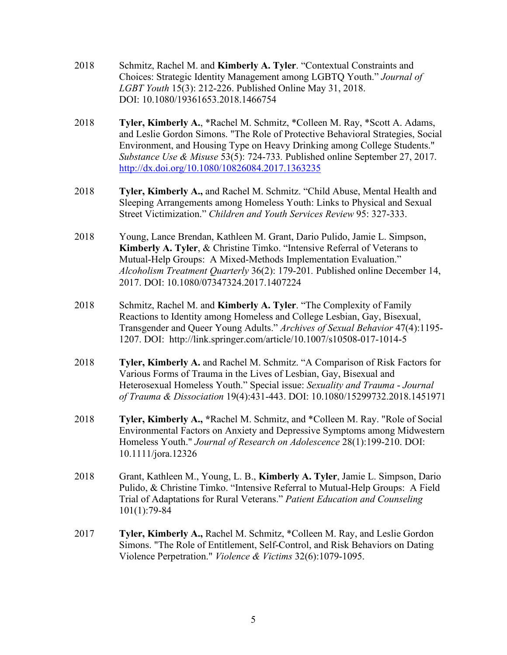- 2018 Schmitz, Rachel M. and **Kimberly A. Tyler**. "Contextual Constraints and Choices: Strategic Identity Management among LGBTQ Youth." *Journal of LGBT Youth* 15(3): 212-226. Published Online May 31, 2018. DOI: 10.1080/19361653.2018.1466754
- 2018 **Tyler, Kimberly A.**, \*Rachel M. Schmitz, \*Colleen M. Ray, \*Scott A. Adams, and Leslie Gordon Simons. "The Role of Protective Behavioral Strategies, Social Environment, and Housing Type on Heavy Drinking among College Students." *Substance Use & Misuse* 53(5): 724-733*.* Published online September 27, 2017. <http://dx.doi.org/10.1080/10826084.2017.1363235>
- 2018 **Tyler, Kimberly A.,** and Rachel M. Schmitz. "Child Abuse, Mental Health and Sleeping Arrangements among Homeless Youth: Links to Physical and Sexual Street Victimization." *Children and Youth Services Review* 95: 327-333.
- 2018 Young, Lance Brendan, Kathleen M. Grant, Dario Pulido, Jamie L. Simpson, **Kimberly A. Tyler**, & Christine Timko. "Intensive Referral of Veterans to Mutual-Help Groups: A Mixed-Methods Implementation Evaluation." *Alcoholism Treatment Quarterly* 36(2): 179-201*.* Published online December 14, 2017. DOI: 10.1080/07347324.2017.1407224
- 2018 Schmitz, Rachel M. and **Kimberly A. Tyler**. "The Complexity of Family Reactions to Identity among Homeless and College Lesbian, Gay, Bisexual, Transgender and Queer Young Adults." *Archives of Sexual Behavior* 47(4):1195- 1207. DOI: [http://link.springer.com/article/10.1007/s10508-017-1014-5](https://na01.safelinks.protection.outlook.com/?url=http:%2F%2Flinks.springernature.com%2Ff%2Fa%2FGGj-mKNu_RjqQqdXECTM7w%7E%7E%2FAABE5gA%7E%2FRgRcr76NP0RyaHR0cDovL2xpbmsuc3ByaW5nZXIuY29tL2FydGljbGUvMTAuMTAwNy9zMTA1MDgtMDE3LTEwMTQtNT93dF9tYz1JbnRlcm5hbC5FdmVudC4xLlNFTS5BcnRpY2xlQXV0aG9yQXNzaWduZWRUb0lzc3VlVwNzcGNYBAAABudCCgAADYvOWmRdWOpSGHJhY2hlbC5zY2htaXR6QHV0cmd2LmVkdQ%7E%7E&data=02%7C01%7Crachel.schmitz%40utrgv.edu%7Cce28d1bfc8284ed4fdcf08d59ffaf521%7C990436a687df491c91249afa91f88827%7C0%7C0%7C636590822570125131&sdata=uxy5aYzCh3yVF5rmp0sw%2FXcPHZ8lT3eOG9EWH1rYPcU%3D&reserved=0)
- 2018 **Tyler, Kimberly A.** and Rachel M. Schmitz. "A Comparison of Risk Factors for Various Forms of Trauma in the Lives of Lesbian, Gay, Bisexual and Heterosexual Homeless Youth." Special issue: *Sexuality and Trauma* - *Journal of Trauma & Dissociation* 19(4):431-443. DOI: 10.1080/15299732.2018.1451971
- 2018 **Tyler, Kimberly A., \***Rachel M. Schmitz, and \*Colleen M. Ray. "Role of Social Environmental Factors on Anxiety and Depressive Symptoms among Midwestern Homeless Youth." *Journal of Research on Adolescence* 28(1):199-210. DOI: 10.1111/jora.12326
- 2018 Grant, Kathleen M., Young, L. B., **Kimberly A. Tyler**, Jamie L. Simpson, Dario Pulido, & Christine Timko. "Intensive Referral to Mutual-Help Groups: A Field Trial of Adaptations for Rural Veterans." *Patient Education and Counseling* 101(1):79-84
- 2017 **Tyler, Kimberly A.,** Rachel M. Schmitz, \*Colleen M. Ray, and Leslie Gordon Simons. "The Role of Entitlement, Self-Control, and Risk Behaviors on Dating Violence Perpetration." *Violence & Victims* 32(6):1079-1095.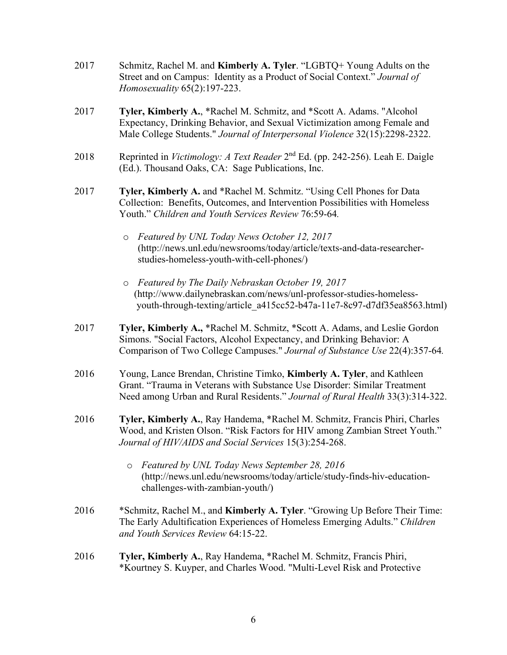- 2017 Schmitz, Rachel M. and **Kimberly A. Tyler**. "LGBTQ+ Young Adults on the Street and on Campus: Identity as a Product of Social Context." *Journal of Homosexuality* 65(2):197-223.
- 2017 **Tyler, Kimberly A.**, \*Rachel M. Schmitz, and \*Scott A. Adams. "Alcohol Expectancy, Drinking Behavior, and Sexual Victimization among Female and Male College Students." *Journal of Interpersonal Violence* 32(15):2298-2322.
- 2018 Reprinted in *Victimology: A Text Reader* 2nd Ed. (pp. 242-256). Leah E. Daigle (Ed.). Thousand Oaks, CA: Sage Publications, Inc.
- 2017 **Tyler, Kimberly A.** and \*Rachel M. Schmitz. "Using Cell Phones for Data Collection: Benefits, Outcomes, and Intervention Possibilities with Homeless Youth." *Children and Youth Services Review* 76:59-64*.* 
	- o *Featured by UNL Today News October 12, 2017* (http://news.unl.edu/newsrooms/today/article/texts-and-data-researcherstudies-homeless-youth-with-cell-phones/)
	- o *Featured by The Daily Nebraskan October 19, 2017* (http://www.dailynebraskan.com/news/unl-professor-studies-homeless youth-through-texting/article\_a415cc52-b47a-11e7-8c97-d7df35ea8563.html)
- 2017 **Tyler, Kimberly A.,** \*Rachel M. Schmitz, \*Scott A. Adams, and Leslie Gordon Simons. "Social Factors, Alcohol Expectancy, and Drinking Behavior: A Comparison of Two College Campuses." *Journal of Substance Use* 22(4):357-64*.*
- 2016 Young, Lance Brendan, Christine Timko, **Kimberly A. Tyler**, and Kathleen Grant. "Trauma in Veterans with Substance Use Disorder: Similar Treatment Need among Urban and Rural Residents." *Journal of Rural Health* 33(3):314-322.
- 2016 **Tyler, Kimberly A.**, Ray Handema, \*Rachel M. Schmitz, Francis Phiri, Charles Wood, and Kristen Olson. "Risk Factors for HIV among Zambian Street Youth." *Journal of HIV/AIDS and Social Services* 15(3):254-268.
	- o *Featured by UNL Today News September 28, 2016* (http://news.unl.edu/newsrooms/today/article/study-finds-hiv-educationchallenges-with-zambian-youth/)
- 2016 \*Schmitz, Rachel M., and **Kimberly A. Tyler**. "Growing Up Before Their Time: The Early Adultification Experiences of Homeless Emerging Adults." *Children and Youth Services Review* 64:15-22.
- 2016 **Tyler, Kimberly A.**, Ray Handema, \*Rachel M. Schmitz, Francis Phiri, \*Kourtney S. Kuyper, and Charles Wood. "Multi-Level Risk and Protective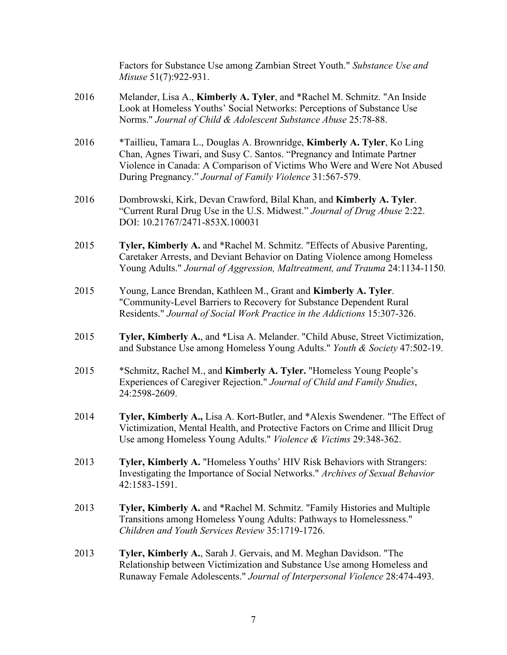Factors for Substance Use among Zambian Street Youth." *Substance Use and Misuse* 51(7):922-931. 2016 Melander, Lisa A., **Kimberly A. Tyler**, and \*Rachel M. Schmitz. "An Inside

- Look at Homeless Youths' Social Networks: Perceptions of Substance Use Norms." *Journal of Child & Adolescent Substance Abuse* 25:78-88.
- 2016 \*Taillieu, Tamara L., Douglas A. Brownridge, **Kimberly A. Tyler**, Ko Ling Chan, Agnes Tiwari, and Susy C. Santos. "Pregnancy and Intimate Partner Violence in Canada: A Comparison of Victims Who Were and Were Not Abused During Pregnancy." *Journal of Family Violence* 31:567-579.
- 2016 Dombrowski, Kirk, Devan Crawford, Bilal Khan, and **Kimberly A. Tyler**. "Current Rural Drug Use in the U.S. Midwest." *Journal of Drug Abuse* 2:22. DOI: 10.21767/2471-853X.100031
- 2015 **Tyler, Kimberly A.** and \*Rachel M. Schmitz. "Effects of Abusive Parenting, Caretaker Arrests, and Deviant Behavior on Dating Violence among Homeless Young Adults." *Journal of Aggression, Maltreatment, and Trauma* 24:1134-1150*.*
- 2015 Young, Lance Brendan, Kathleen M., Grant and **Kimberly A. Tyler**. "Community-Level Barriers to Recovery for Substance Dependent Rural Residents." *Journal of Social Work Practice in the Addictions* 15:307-326.
- 2015 **Tyler, Kimberly A.**, and \*Lisa A. Melander. "Child Abuse, Street Victimization, and Substance Use among Homeless Young Adults." *Youth & Society* 47:502-19.
- 2015 \*Schmitz, Rachel M., and **Kimberly A. Tyler.** "Homeless Young People's Experiences of Caregiver Rejection." *Journal of Child and Family Studies*, 24:2598-2609.
- 2014 **Tyler, Kimberly A.,** Lisa A. Kort-Butler, and \*Alexis Swendener. "The Effect of Victimization, Mental Health, and Protective Factors on Crime and Illicit Drug Use among Homeless Young Adults." *Violence & Victims* 29:348-362.
- 2013 **Tyler, Kimberly A.** "Homeless Youths' HIV Risk Behaviors with Strangers: Investigating the Importance of Social Networks." *Archives of Sexual Behavior* 42:1583-1591.
- 2013 **Tyler, Kimberly A.** and \*Rachel M. Schmitz. "Family Histories and Multiple Transitions among Homeless Young Adults: Pathways to Homelessness." *Children and Youth Services Review* 35:1719-1726.
- 2013 **Tyler, Kimberly A.**, Sarah J. Gervais, and M. Meghan Davidson. "The Relationship between Victimization and Substance Use among Homeless and Runaway Female Adolescents." *Journal of Interpersonal Violence* 28:474-493.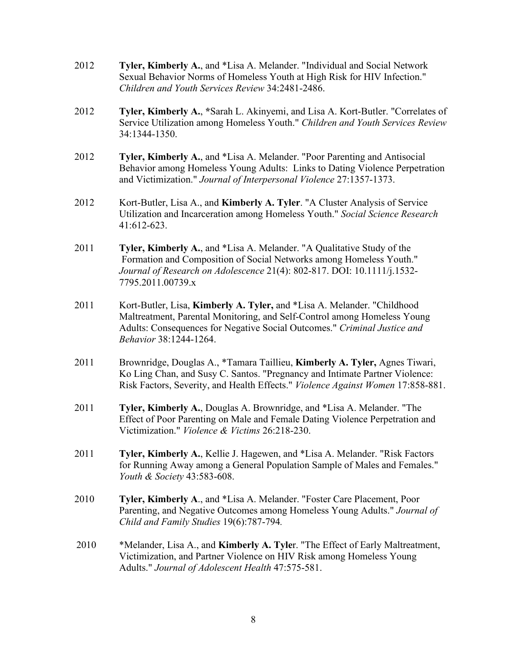- 2012 **Tyler, Kimberly A.**, and \*Lisa A. Melander. "Individual and Social Network Sexual Behavior Norms of Homeless Youth at High Risk for HIV Infection." *Children and Youth Services Review* 34:2481-2486.
- 2012 **Tyler, Kimberly A.**, **\***Sarah L. Akinyemi, and Lisa A. Kort-Butler. "Correlates of Service Utilization among Homeless Youth." *Children and Youth Services Review* 34:1344-1350.
- 2012 **Tyler, Kimberly A.**, and \*Lisa A. Melander. "Poor Parenting and Antisocial Behavior among Homeless Young Adults: Links to Dating Violence Perpetration and Victimization." *Journal of Interpersonal Violence* 27:1357-1373.
- 2012 Kort-Butler, Lisa A., and **Kimberly A. Tyler**. "A Cluster Analysis of Service Utilization and Incarceration among Homeless Youth." *Social Science Research* 41:612-623.
- 2011 **Tyler, Kimberly A.**, and \*Lisa A. Melander. "A Qualitative Study of the Formation and Composition of Social Networks among Homeless Youth." *Journal of Research on Adolescence* 21(4): 802-817. DOI: 10.1111/j.1532- 7795.2011.00739.x
- 2011 Kort-Butler, Lisa, **Kimberly A. Tyler,** and \*Lisa A. Melander. "Childhood Maltreatment, Parental Monitoring, and Self-Control among Homeless Young Adults: Consequences for Negative Social Outcomes." *Criminal Justice and Behavior* 38:1244-1264.
- 2011 Brownridge, Douglas A., \*Tamara Taillieu, **Kimberly A. Tyler,** Agnes Tiwari, Ko Ling Chan, and Susy C. Santos. "Pregnancy and Intimate Partner Violence: Risk Factors, Severity, and Health Effects." *Violence Against Women* 17:858-881.
- 2011 **Tyler, Kimberly A.**, Douglas A. Brownridge, and \*Lisa A. Melander. "The Effect of Poor Parenting on Male and Female Dating Violence Perpetration and Victimization." *Violence & Victims* 26:218-230.
- 2011 **Tyler, Kimberly A.**, Kellie J. Hagewen, and \*Lisa A. Melander. "Risk Factors for Running Away among a General Population Sample of Males and Females." *Youth & Society* 43:583-608.
- 2010 **Tyler, Kimberly A**., and \*Lisa A. Melander. "Foster Care Placement, Poor Parenting, and Negative Outcomes among Homeless Young Adults." *Journal of Child and Family Studies* 19(6):787-794*.*
- 2010 \*Melander, Lisa A., and **Kimberly A. Tyle**r. "The Effect of Early Maltreatment, Victimization, and Partner Violence on HIV Risk among Homeless Young Adults." *Journal of Adolescent Health* 47:575-581.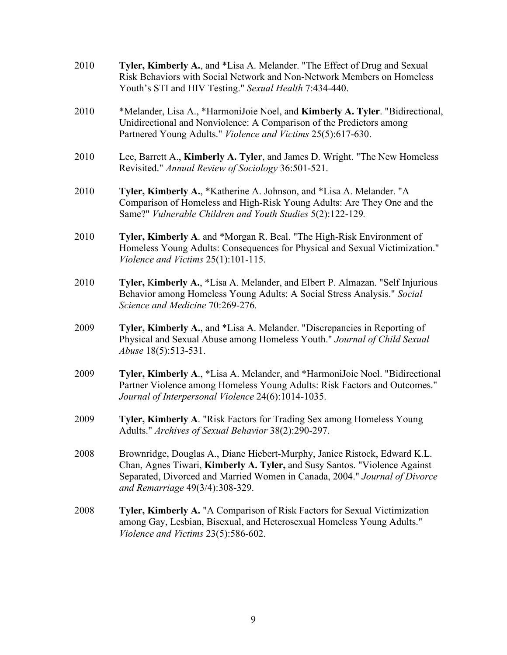| 2010 | Tyler, Kimberly A., and *Lisa A. Melander. "The Effect of Drug and Sexual<br>Risk Behaviors with Social Network and Non-Network Members on Homeless<br>Youth's STI and HIV Testing." Sexual Health 7:434-440.                                                           |
|------|-------------------------------------------------------------------------------------------------------------------------------------------------------------------------------------------------------------------------------------------------------------------------|
| 2010 | *Melander, Lisa A., *HarmoniJoie Noel, and Kimberly A. Tyler. "Bidirectional,<br>Unidirectional and Nonviolence: A Comparison of the Predictors among<br>Partnered Young Adults." Violence and Victims 25(5):617-630.                                                   |
| 2010 | Lee, Barrett A., Kimberly A. Tyler, and James D. Wright. "The New Homeless<br>Revisited." Annual Review of Sociology 36:501-521.                                                                                                                                        |
| 2010 | Tyler, Kimberly A., *Katherine A. Johnson, and *Lisa A. Melander. "A<br>Comparison of Homeless and High-Risk Young Adults: Are They One and the<br>Same?" Vulnerable Children and Youth Studies 5(2):122-129.                                                           |
| 2010 | Tyler, Kimberly A. and *Morgan R. Beal. "The High-Risk Environment of<br>Homeless Young Adults: Consequences for Physical and Sexual Victimization."<br>Violence and Victims 25(1):101-115.                                                                             |
| 2010 | Tyler, Kimberly A., *Lisa A. Melander, and Elbert P. Almazan. "Self Injurious<br>Behavior among Homeless Young Adults: A Social Stress Analysis." Social<br>Science and Medicine 70:269-276.                                                                            |
| 2009 | Tyler, Kimberly A., and *Lisa A. Melander. "Discrepancies in Reporting of<br>Physical and Sexual Abuse among Homeless Youth." Journal of Child Sexual<br><i>Abuse</i> 18(5):513-531.                                                                                    |
| 2009 | Tyler, Kimberly A., *Lisa A. Melander, and *HarmoniJoie Noel. "Bidirectional<br>Partner Violence among Homeless Young Adults: Risk Factors and Outcomes."<br>Journal of Interpersonal Violence 24(6):1014-1035.                                                         |
| 2009 | Tyler, Kimberly A. "Risk Factors for Trading Sex among Homeless Young<br>Adults." Archives of Sexual Behavior 38(2):290-297.                                                                                                                                            |
| 2008 | Brownridge, Douglas A., Diane Hiebert-Murphy, Janice Ristock, Edward K.L.<br>Chan, Agnes Tiwari, Kimberly A. Tyler, and Susy Santos. "Violence Against<br>Separated, Divorced and Married Women in Canada, 2004." Journal of Divorce<br>and Remarriage 49(3/4):308-329. |
| 2008 | Tyler, Kimberly A. "A Comparison of Risk Factors for Sexual Victimization<br>among Gay, Lesbian, Bisexual, and Heterosexual Homeless Young Adults."<br>Violence and Victims 23(5):586-602.                                                                              |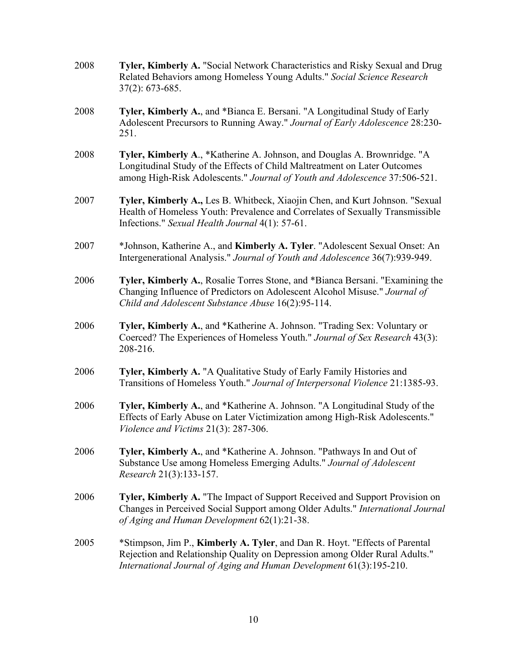| 2008 | Tyler, Kimberly A. "Social Network Characteristics and Risky Sexual and Drug<br>Related Behaviors among Homeless Young Adults." Social Science Research<br>$37(2): 673-685.$                                                        |
|------|-------------------------------------------------------------------------------------------------------------------------------------------------------------------------------------------------------------------------------------|
| 2008 | Tyler, Kimberly A., and *Bianca E. Bersani. "A Longitudinal Study of Early<br>Adolescent Precursors to Running Away." Journal of Early Adolescence 28:230-<br>251.                                                                  |
| 2008 | Tyler, Kimberly A., *Katherine A. Johnson, and Douglas A. Brownridge. "A<br>Longitudinal Study of the Effects of Child Maltreatment on Later Outcomes<br>among High-Risk Adolescents." Journal of Youth and Adolescence 37:506-521. |
| 2007 | Tyler, Kimberly A., Les B. Whitbeck, Xiaojin Chen, and Kurt Johnson. "Sexual<br>Health of Homeless Youth: Prevalence and Correlates of Sexually Transmissible<br>Infections." Sexual Health Journal 4(1): 57-61.                    |
| 2007 | *Johnson, Katherine A., and Kimberly A. Tyler. "Adolescent Sexual Onset: An<br>Intergenerational Analysis." Journal of Youth and Adolescence 36(7):939-949.                                                                         |
| 2006 | Tyler, Kimberly A., Rosalie Torres Stone, and *Bianca Bersani. "Examining the<br>Changing Influence of Predictors on Adolescent Alcohol Misuse." Journal of<br>Child and Adolescent Substance Abuse 16(2):95-114.                   |
| 2006 | Tyler, Kimberly A., and *Katherine A. Johnson. "Trading Sex: Voluntary or<br>Coerced? The Experiences of Homeless Youth." Journal of Sex Research 43(3):<br>208-216.                                                                |
| 2006 | Tyler, Kimberly A. "A Qualitative Study of Early Family Histories and<br>Transitions of Homeless Youth." Journal of Interpersonal Violence 21:1385-93.                                                                              |
| 2006 | Tyler, Kimberly A., and *Katherine A. Johnson. "A Longitudinal Study of the<br>Effects of Early Abuse on Later Victimization among High-Risk Adolescents."<br>Violence and Victims 21(3): 287-306.                                  |
| 2006 | Tyler, Kimberly A., and *Katherine A. Johnson. "Pathways In and Out of<br>Substance Use among Homeless Emerging Adults." Journal of Adolescent<br>Research 21(3):133-157.                                                           |
| 2006 | Tyler, Kimberly A. "The Impact of Support Received and Support Provision on<br>Changes in Perceived Social Support among Older Adults." International Journal<br>of Aging and Human Development 62(1):21-38.                        |
| 2005 | *Stimpson, Jim P., Kimberly A. Tyler, and Dan R. Hoyt. "Effects of Parental<br>Rejection and Relationship Quality on Depression among Older Rural Adults."<br>International Journal of Aging and Human Development 61(3):195-210.   |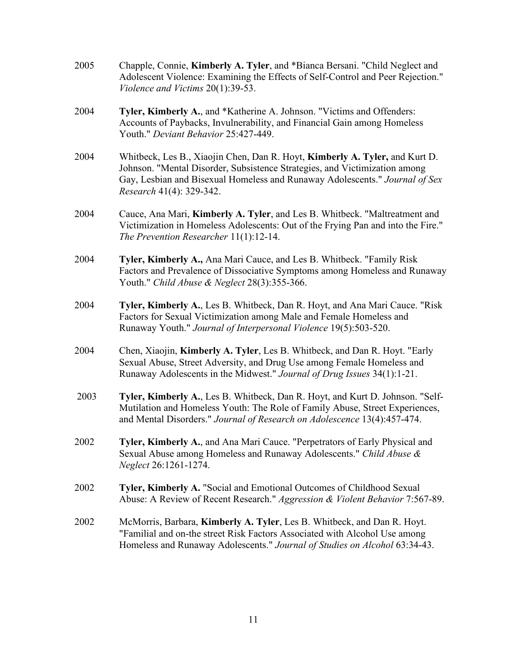| 2005 | Chapple, Connie, Kimberly A. Tyler, and *Bianca Bersani. "Child Neglect and<br>Adolescent Violence: Examining the Effects of Self-Control and Peer Rejection."<br>Violence and Victims $20(1):39-53$ .                                                               |
|------|----------------------------------------------------------------------------------------------------------------------------------------------------------------------------------------------------------------------------------------------------------------------|
| 2004 | Tyler, Kimberly A., and *Katherine A. Johnson. "Victims and Offenders:<br>Accounts of Paybacks, Invulnerability, and Financial Gain among Homeless<br>Youth." Deviant Behavior 25:427-449.                                                                           |
| 2004 | Whitbeck, Les B., Xiaojin Chen, Dan R. Hoyt, Kimberly A. Tyler, and Kurt D.<br>Johnson. "Mental Disorder, Subsistence Strategies, and Victimization among<br>Gay, Lesbian and Bisexual Homeless and Runaway Adolescents." Journal of Sex<br>Research 41(4): 329-342. |
| 2004 | Cauce, Ana Mari, Kimberly A. Tyler, and Les B. Whitbeck. "Maltreatment and<br>Victimization in Homeless Adolescents: Out of the Frying Pan and into the Fire."<br>The Prevention Researcher $11(1):12-14$ .                                                          |
| 2004 | Tyler, Kimberly A., Ana Mari Cauce, and Les B. Whitbeck. "Family Risk<br>Factors and Prevalence of Dissociative Symptoms among Homeless and Runaway<br>Youth." Child Abuse & Neglect 28(3):355-366.                                                                  |
| 2004 | Tyler, Kimberly A., Les B. Whitbeck, Dan R. Hoyt, and Ana Mari Cauce. "Risk"<br>Factors for Sexual Victimization among Male and Female Homeless and<br>Runaway Youth." Journal of Interpersonal Violence 19(5):503-520.                                              |
| 2004 | Chen, Xiaojin, Kimberly A. Tyler, Les B. Whitbeck, and Dan R. Hoyt. "Early<br>Sexual Abuse, Street Adversity, and Drug Use among Female Homeless and<br>Runaway Adolescents in the Midwest." Journal of Drug Issues 34(1):1-21.                                      |
| 2003 | Tyler, Kimberly A., Les B. Whitbeck, Dan R. Hoyt, and Kurt D. Johnson. "Self-<br>Mutilation and Homeless Youth: The Role of Family Abuse, Street Experiences,<br>and Mental Disorders." Journal of Research on Adolescence 13(4):457-474.                            |
| 2002 | Tyler, Kimberly A., and Ana Mari Cauce. "Perpetrators of Early Physical and<br>Sexual Abuse among Homeless and Runaway Adolescents." Child Abuse &<br>Neglect 26:1261-1274.                                                                                          |
| 2002 | Tyler, Kimberly A. "Social and Emotional Outcomes of Childhood Sexual<br>Abuse: A Review of Recent Research." Aggression & Violent Behavior 7:567-89.                                                                                                                |
| 2002 | McMorris, Barbara, Kimberly A. Tyler, Les B. Whitbeck, and Dan R. Hoyt.<br>"Familial and on-the street Risk Factors Associated with Alcohol Use among<br>Homeless and Runaway Adolescents." Journal of Studies on Alcohol 63:34-43.                                  |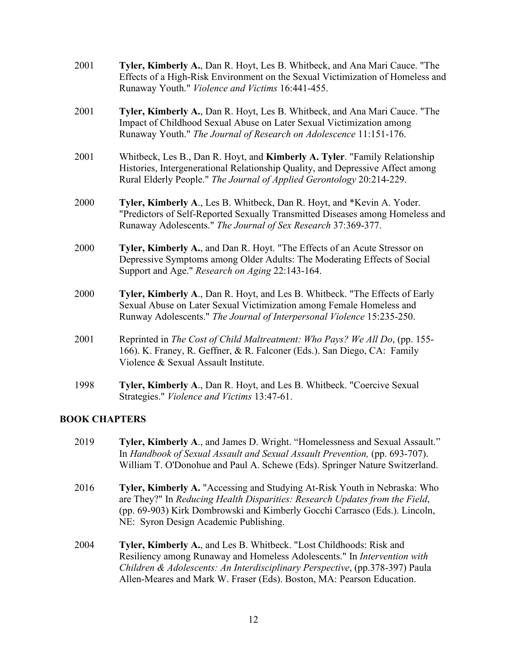| 2001 | Tyler, Kimberly A., Dan R. Hoyt, Les B. Whitbeck, and Ana Mari Cauce. "The<br>Effects of a High-Risk Environment on the Sexual Victimization of Homeless and<br>Runaway Youth." Violence and Victims 16:441-455.                      |
|------|---------------------------------------------------------------------------------------------------------------------------------------------------------------------------------------------------------------------------------------|
| 2001 | Tyler, Kimberly A., Dan R. Hoyt, Les B. Whitbeck, and Ana Mari Cauce. "The<br>Impact of Childhood Sexual Abuse on Later Sexual Victimization among<br>Runaway Youth." The Journal of Research on Adolescence 11:151-176.              |
| 2001 | Whitbeck, Les B., Dan R. Hoyt, and Kimberly A. Tyler. "Family Relationship<br>Histories, Intergenerational Relationship Quality, and Depressive Affect among<br>Rural Elderly People." The Journal of Applied Gerontology 20:214-229. |
| 2000 | Tyler, Kimberly A., Les B. Whitbeck, Dan R. Hoyt, and *Kevin A. Yoder.<br>"Predictors of Self-Reported Sexually Transmitted Diseases among Homeless and<br>Runaway Adolescents." The Journal of Sex Research 37:369-377.              |
| 2000 | Tyler, Kimberly A., and Dan R. Hoyt. "The Effects of an Acute Stressor on<br>Depressive Symptoms among Older Adults: The Moderating Effects of Social<br>Support and Age." Research on Aging 22:143-164.                              |
| 2000 | Tyler, Kimberly A., Dan R. Hoyt, and Les B. Whitbeck. "The Effects of Early<br>Sexual Abuse on Later Sexual Victimization among Female Homeless and<br>Runway Adolescents." The Journal of Interpersonal Violence 15:235-250.         |
| 2001 | Reprinted in The Cost of Child Maltreatment: Who Pays? We All Do, (pp. 155-<br>166). K. Franey, R. Geffner, & R. Falconer (Eds.). San Diego, CA: Family<br>Violence & Sexual Assault Institute.                                       |
| 1998 | Tyler, Kimberly A., Dan R. Hoyt, and Les B. Whitbeck. "Coercive Sexual<br>Strategies." Violence and Victims 13:47-61.                                                                                                                 |

#### **BOOK CHAPTERS**

- 2019 **Tyler, Kimberly A**., and James D. Wright. "Homelessness and Sexual Assault." In *Handbook of Sexual Assault and Sexual Assault Prevention,* (pp. 693-707). William T. O'Donohue and Paul A. Schewe (Eds). Springer Nature Switzerland.
- 2016 **Tyler, Kimberly A.** "Accessing and Studying At-Risk Youth in Nebraska: Who are They?" In *Reducing Health Disparities: Research Updates from the Field*, (pp. 69-903) Kirk Dombrowski and Kimberly Gocchi Carrasco (Eds.). Lincoln, NE: Syron Design Academic Publishing.
- 2004 **Tyler, Kimberly A.**, and Les B. Whitbeck. "Lost Childhoods: Risk and Resiliency among Runaway and Homeless Adolescents." In *Intervention with Children & Adolescents: An Interdisciplinary Perspective*, (pp.378-397) Paula Allen-Meares and Mark W. Fraser (Eds). Boston, MA: Pearson Education.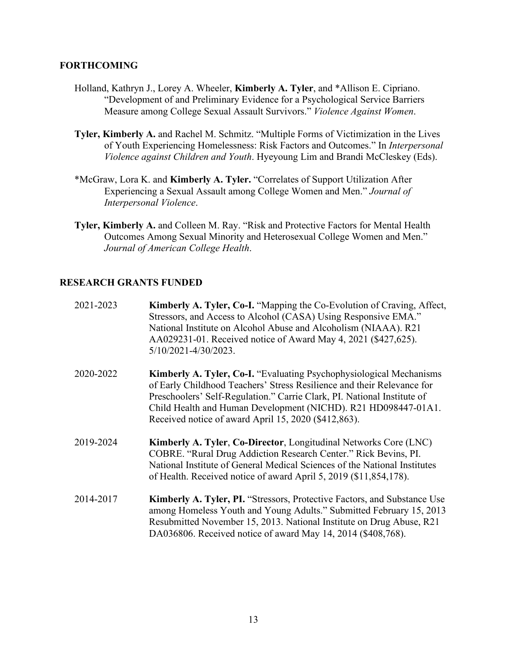#### **FORTHCOMING**

- Holland, Kathryn J., Lorey A. Wheeler, **Kimberly A. Tyler**, and \*Allison E. Cipriano. "Development of and Preliminary Evidence for a Psychological Service Barriers Measure among College Sexual Assault Survivors." *Violence Against Women*.
- **Tyler, Kimberly A.** and Rachel M. Schmitz. "Multiple Forms of Victimization in the Lives of Youth Experiencing Homelessness: Risk Factors and Outcomes." In *Interpersonal Violence against Children and Youth*. Hyeyoung Lim and Brandi McCleskey (Eds).
- \*McGraw, Lora K. and **Kimberly A. Tyler.** "Correlates of Support Utilization After Experiencing a Sexual Assault among College Women and Men." *Journal of Interpersonal Violence*.
- **Tyler, Kimberly A.** and Colleen M. Ray. "Risk and Protective Factors for Mental Health Outcomes Among Sexual Minority and Heterosexual College Women and Men." *Journal of American College Health*.

### **RESEARCH GRANTS FUNDED**

| 2021-2023 | Kimberly A. Tyler, Co-I. "Mapping the Co-Evolution of Craving, Affect,<br>Stressors, and Access to Alcohol (CASA) Using Responsive EMA."<br>National Institute on Alcohol Abuse and Alcoholism (NIAAA). R21<br>AA029231-01. Received notice of Award May 4, 2021 (\$427,625).<br>$5/10/2021 - 4/30/2023$ .                                                 |
|-----------|------------------------------------------------------------------------------------------------------------------------------------------------------------------------------------------------------------------------------------------------------------------------------------------------------------------------------------------------------------|
| 2020-2022 | <b>Kimberly A. Tyler, Co-I.</b> "Evaluating Psychophysiological Mechanisms"<br>of Early Childhood Teachers' Stress Resilience and their Relevance for<br>Preschoolers' Self-Regulation." Carrie Clark, PI. National Institute of<br>Child Health and Human Development (NICHD). R21 HD098447-01A1.<br>Received notice of award April 15, 2020 (\$412,863). |
| 2019-2024 | <b>Kimberly A. Tyler, Co-Director, Longitudinal Networks Core (LNC)</b><br>COBRE. "Rural Drug Addiction Research Center." Rick Bevins, PI.<br>National Institute of General Medical Sciences of the National Institutes<br>of Health. Received notice of award April 5, 2019 (\$11,854,178).                                                               |
| 2014-2017 | Kimberly A. Tyler, PI. "Stressors, Protective Factors, and Substance Use<br>among Homeless Youth and Young Adults." Submitted February 15, 2013<br>Resubmitted November 15, 2013. National Institute on Drug Abuse, R21<br>DA036806. Received notice of award May 14, 2014 (\$408,768).                                                                    |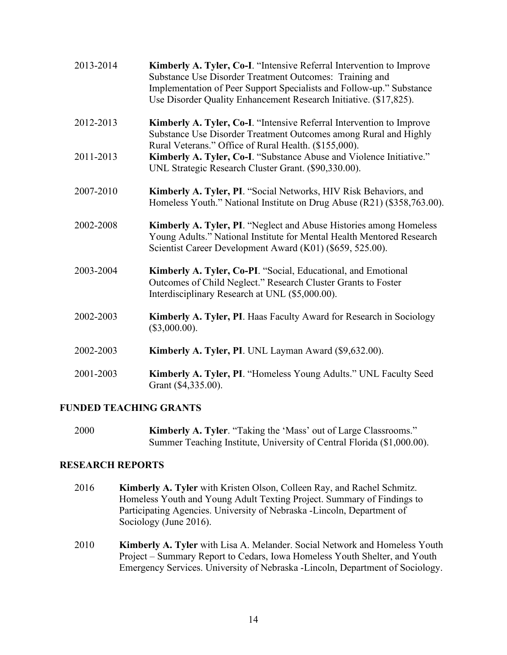| 2013-2014 | Kimberly A. Tyler, Co-I. "Intensive Referral Intervention to Improve<br>Substance Use Disorder Treatment Outcomes: Training and<br>Implementation of Peer Support Specialists and Follow-up." Substance<br>Use Disorder Quality Enhancement Research Initiative. (\$17,825). |
|-----------|------------------------------------------------------------------------------------------------------------------------------------------------------------------------------------------------------------------------------------------------------------------------------|
| 2012-2013 | Kimberly A. Tyler, Co-I. "Intensive Referral Intervention to Improve<br>Substance Use Disorder Treatment Outcomes among Rural and Highly<br>Rural Veterans." Office of Rural Health. (\$155,000).                                                                            |
| 2011-2013 | Kimberly A. Tyler, Co-I. "Substance Abuse and Violence Initiative."<br>UNL Strategic Research Cluster Grant. (\$90,330.00).                                                                                                                                                  |
| 2007-2010 | Kimberly A. Tyler, PI. "Social Networks, HIV Risk Behaviors, and<br>Homeless Youth." National Institute on Drug Abuse (R21) (\$358,763.00).                                                                                                                                  |
| 2002-2008 | Kimberly A. Tyler, PI. "Neglect and Abuse Histories among Homeless<br>Young Adults." National Institute for Mental Health Mentored Research<br>Scientist Career Development Award (K01) (\$659, 525.00).                                                                     |
| 2003-2004 | Kimberly A. Tyler, Co-PI. "Social, Educational, and Emotional<br>Outcomes of Child Neglect." Research Cluster Grants to Foster<br>Interdisciplinary Research at UNL (\$5,000.00).                                                                                            |
| 2002-2003 | Kimberly A. Tyler, PI. Haas Faculty Award for Research in Sociology<br>(\$3,000.00).                                                                                                                                                                                         |
| 2002-2003 | Kimberly A. Tyler, PI. UNL Layman Award (\$9,632.00).                                                                                                                                                                                                                        |
| 2001-2003 | Kimberly A. Tyler, PI. "Homeless Young Adults." UNL Faculty Seed<br>Grant (\$4,335.00).                                                                                                                                                                                      |

#### **FUNDED TEACHING GRANTS**

2000 **Kimberly A. Tyler**. "Taking the 'Mass' out of Large Classrooms." Summer Teaching Institute, University of Central Florida (\$1,000.00).

#### **RESEARCH REPORTS**

- 2016 **Kimberly A. Tyler** with Kristen Olson, Colleen Ray, and Rachel Schmitz. Homeless Youth and Young Adult Texting Project. Summary of Findings to Participating Agencies. University of Nebraska -Lincoln, Department of Sociology (June 2016).
- 2010 **Kimberly A. Tyler** with Lisa A. Melander. Social Network and Homeless Youth Project – Summary Report to Cedars, Iowa Homeless Youth Shelter, and Youth Emergency Services. University of Nebraska -Lincoln, Department of Sociology.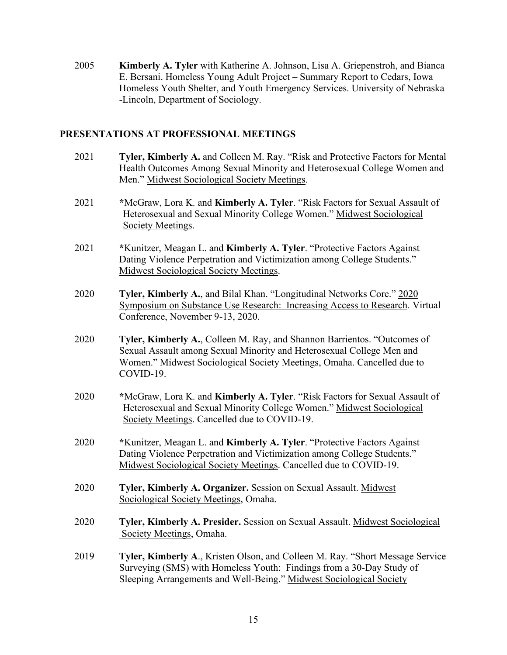2005 **Kimberly A. Tyler** with Katherine A. Johnson, Lisa A. Griepenstroh, and Bianca E. Bersani. Homeless Young Adult Project – Summary Report to Cedars, Iowa Homeless Youth Shelter, and Youth Emergency Services. University of Nebraska -Lincoln, Department of Sociology.

#### **PRESENTATIONS AT PROFESSIONAL MEETINGS**

- 2021 **Tyler, Kimberly A.** and Colleen M. Ray. "Risk and Protective Factors for Mental Health Outcomes Among Sexual Minority and Heterosexual College Women and Men." Midwest Sociological Society Meetings.
- 2021 **\***McGraw, Lora K. and **Kimberly A. Tyler**. "Risk Factors for Sexual Assault of Heterosexual and Sexual Minority College Women." Midwest Sociological Society Meetings.
- 2021 **\***Kunitzer, Meagan L. and **Kimberly A. Tyler**. "Protective Factors Against Dating Violence Perpetration and Victimization among College Students." Midwest Sociological Society Meetings.
- 2020 **Tyler, Kimberly A.**, and Bilal Khan. "Longitudinal Networks Core." 2020 Symposium on Substance Use Research: Increasing Access to Research. Virtual Conference, November 9-13, 2020.
- 2020 **Tyler, Kimberly A.**, Colleen M. Ray, and Shannon Barrientos. "Outcomes of Sexual Assault among Sexual Minority and Heterosexual College Men and Women." Midwest Sociological Society Meetings, Omaha. Cancelled due to COVID-19.
- 2020 **\***McGraw, Lora K. and **Kimberly A. Tyler**. "Risk Factors for Sexual Assault of Heterosexual and Sexual Minority College Women." Midwest Sociological Society Meetings. Cancelled due to COVID-19.
- 2020 **\***Kunitzer, Meagan L. and **Kimberly A. Tyler**. "Protective Factors Against Dating Violence Perpetration and Victimization among College Students." Midwest Sociological Society Meetings. Cancelled due to COVID-19.
- 2020 **Tyler, Kimberly A. Organizer.** Session on Sexual Assault. Midwest Sociological Society Meetings, Omaha.
- 2020 **Tyler, Kimberly A. Presider.** Session on Sexual Assault. Midwest Sociological Society Meetings, Omaha.
- 2019 **Tyler, Kimberly A**., Kristen Olson, and Colleen M. Ray. "Short Message Service Surveying (SMS) with Homeless Youth: Findings from a 30-Day Study of Sleeping Arrangements and Well-Being." Midwest Sociological Society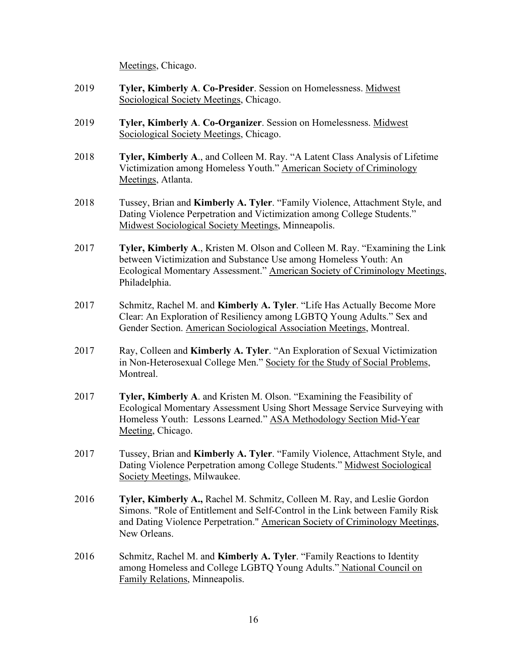Meetings, Chicago.

- 2019 **Tyler, Kimberly A**. **Co-Presider**. Session on Homelessness. Midwest Sociological Society Meetings, Chicago.
- 2019 **Tyler, Kimberly A**. **Co-Organizer**. Session on Homelessness. Midwest Sociological Society Meetings, Chicago.
- 2018 **Tyler, Kimberly A**., and Colleen M. Ray. "A Latent Class Analysis of Lifetime Victimization among Homeless Youth." American Society of Criminology Meetings, Atlanta.
- 2018 Tussey, Brian and **Kimberly A. Tyler**. "Family Violence, Attachment Style, and Dating Violence Perpetration and Victimization among College Students." Midwest Sociological Society Meetings, Minneapolis.
- 2017 **Tyler, Kimberly A**., Kristen M. Olson and Colleen M. Ray. "Examining the Link between Victimization and Substance Use among Homeless Youth: An Ecological Momentary Assessment." American Society of Criminology Meetings, Philadelphia.
- 2017 Schmitz, Rachel M. and **Kimberly A. Tyler**. "Life Has Actually Become More Clear: An Exploration of Resiliency among LGBTQ Young Adults." Sex and Gender Section. American Sociological Association Meetings, Montreal.
- 2017 Ray, Colleen and **Kimberly A. Tyler**. "An Exploration of Sexual Victimization in Non-Heterosexual College Men." Society for the Study of Social Problems, Montreal.
- 2017 **Tyler, Kimberly A**. and Kristen M. Olson. "Examining the Feasibility of Ecological Momentary Assessment Using Short Message Service Surveying with Homeless Youth: Lessons Learned." ASA Methodology Section Mid-Year Meeting, Chicago.
- 2017 Tussey, Brian and **Kimberly A. Tyler**. "Family Violence, Attachment Style, and Dating Violence Perpetration among College Students." Midwest Sociological Society Meetings, Milwaukee.
- 2016 **Tyler, Kimberly A.,** Rachel M. Schmitz, Colleen M. Ray, and Leslie Gordon Simons. "Role of Entitlement and Self-Control in the Link between Family Risk and Dating Violence Perpetration." American Society of Criminology Meetings, New Orleans.
- 2016 Schmitz, Rachel M. and **Kimberly A. Tyler**. "Family Reactions to Identity among Homeless and College LGBTQ Young Adults." National Council on Family Relations, Minneapolis.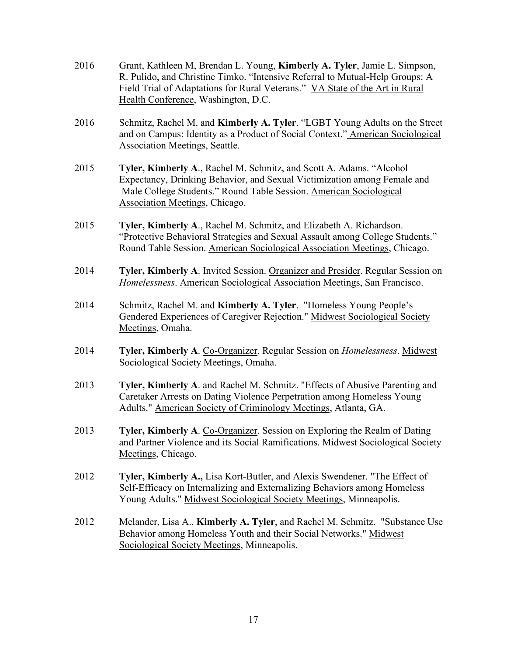| 2016 | Grant, Kathleen M, Brendan L. Young, Kimberly A. Tyler, Jamie L. Simpson,<br>R. Pulido, and Christine Timko. "Intensive Referral to Mutual-Help Groups: A<br>Field Trial of Adaptations for Rural Veterans." VA State of the Art in Rural<br>Health Conference, Washington, D.C. |
|------|----------------------------------------------------------------------------------------------------------------------------------------------------------------------------------------------------------------------------------------------------------------------------------|
| 2016 | Schmitz, Rachel M. and Kimberly A. Tyler. "LGBT Young Adults on the Street<br>and on Campus: Identity as a Product of Social Context." American Sociological<br><b>Association Meetings, Seattle.</b>                                                                            |
| 2015 | Tyler, Kimberly A., Rachel M. Schmitz, and Scott A. Adams. "Alcohol<br>Expectancy, Drinking Behavior, and Sexual Victimization among Female and<br>Male College Students." Round Table Session. American Sociological<br><b>Association Meetings, Chicago.</b>                   |
| 2015 | Tyler, Kimberly A., Rachel M. Schmitz, and Elizabeth A. Richardson.<br>"Protective Behavioral Strategies and Sexual Assault among College Students."<br>Round Table Session. American Sociological Association Meetings, Chicago.                                                |
| 2014 | Tyler, Kimberly A. Invited Session. Organizer and Presider. Regular Session on<br>Homelessness. American Sociological Association Meetings, San Francisco.                                                                                                                       |
| 2014 | Schmitz, Rachel M. and Kimberly A. Tyler. "Homeless Young People's<br>Gendered Experiences of Caregiver Rejection." Midwest Sociological Society<br>Meetings, Omaha.                                                                                                             |
| 2014 | Tyler, Kimberly A. Co-Organizer. Regular Session on <i>Homelessness</i> . Midwest<br>Sociological Society Meetings, Omaha.                                                                                                                                                       |
| 2013 | Tyler, Kimberly A. and Rachel M. Schmitz. "Effects of Abusive Parenting and<br>Caretaker Arrests on Dating Violence Perpetration among Homeless Young<br>Adults." American Society of Criminology Meetings, Atlanta, GA.                                                         |
| 2013 | Tyler, Kimberly A. Co-Organizer. Session on Exploring the Realm of Dating<br>and Partner Violence and its Social Ramifications. Midwest Sociological Society<br>Meetings, Chicago.                                                                                               |
| 2012 | Tyler, Kimberly A., Lisa Kort-Butler, and Alexis Swendener. "The Effect of<br>Self-Efficacy on Internalizing and Externalizing Behaviors among Homeless<br>Young Adults." Midwest Sociological Society Meetings, Minneapolis.                                                    |
| 2012 | Melander, Lisa A., Kimberly A. Tyler, and Rachel M. Schmitz. "Substance Use<br>Behavior among Homeless Youth and their Social Networks." Midwest<br>Sociological Society Meetings, Minneapolis.                                                                                  |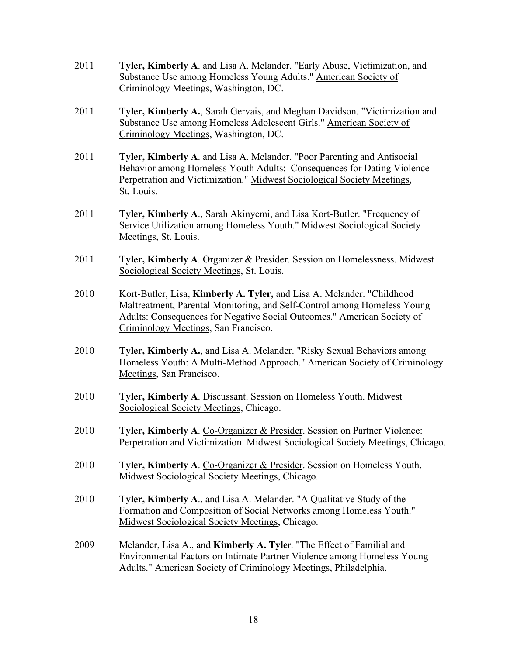- 2011 **Tyler, Kimberly A**. and Lisa A. Melander. "Early Abuse, Victimization, and Substance Use among Homeless Young Adults." American Society of Criminology Meetings, Washington, DC.
- 2011 **Tyler, Kimberly A.**, Sarah Gervais, and Meghan Davidson. "Victimization and Substance Use among Homeless Adolescent Girls." American Society of Criminology Meetings, Washington, DC.
- 2011 **Tyler, Kimberly A**. and Lisa A. Melander. "Poor Parenting and Antisocial Behavior among Homeless Youth Adults: Consequences for Dating Violence Perpetration and Victimization." Midwest Sociological Society Meetings, St. Louis.
- 2011 **Tyler, Kimberly A**., Sarah Akinyemi, and Lisa Kort-Butler. "Frequency of Service Utilization among Homeless Youth." Midwest Sociological Society Meetings, St. Louis.
- 2011 **Tyler, Kimberly A**. Organizer & Presider. Session on Homelessness. Midwest Sociological Society Meetings, St. Louis.
- 2010 Kort-Butler, Lisa, **Kimberly A. Tyler,** and Lisa A. Melander. "Childhood Maltreatment, Parental Monitoring, and Self-Control among Homeless Young Adults: Consequences for Negative Social Outcomes." American Society of Criminology Meetings, San Francisco.
- 2010 **Tyler, Kimberly A.**, and Lisa A. Melander. "Risky Sexual Behaviors among Homeless Youth: A Multi-Method Approach." American Society of Criminology Meetings, San Francisco.
- 2010 **Tyler, Kimberly A**. Discussant. Session on Homeless Youth. Midwest Sociological Society Meetings, Chicago.
- 2010 **Tyler, Kimberly A**. Co-Organizer & Presider. Session on Partner Violence: Perpetration and Victimization. Midwest Sociological Society Meetings, Chicago.
- 2010 **Tyler, Kimberly A**. Co-Organizer & Presider. Session on Homeless Youth. Midwest Sociological Society Meetings, Chicago.
- 2010 **Tyler, Kimberly A**., and Lisa A. Melander. "A Qualitative Study of the Formation and Composition of Social Networks among Homeless Youth." Midwest Sociological Society Meetings, Chicago.
- 2009 Melander, Lisa A., and **Kimberly A. Tyle**r. "The Effect of Familial and Environmental Factors on Intimate Partner Violence among Homeless Young Adults." American Society of Criminology Meetings, Philadelphia.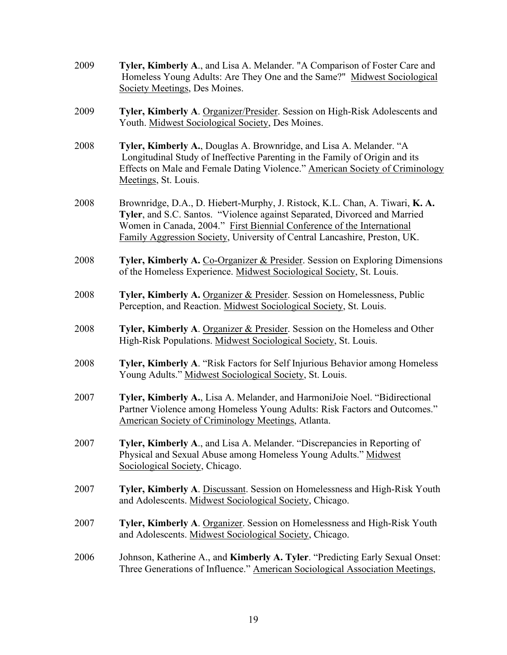| 2009 | Tyler, Kimberly A., and Lisa A. Melander. "A Comparison of Foster Care and<br>Homeless Young Adults: Are They One and the Same?" Midwest Sociological<br>Society Meetings, Des Moines.                                                                                                                          |
|------|-----------------------------------------------------------------------------------------------------------------------------------------------------------------------------------------------------------------------------------------------------------------------------------------------------------------|
| 2009 | Tyler, Kimberly A. Organizer/Presider. Session on High-Risk Adolescents and<br>Youth. Midwest Sociological Society, Des Moines.                                                                                                                                                                                 |
| 2008 | Tyler, Kimberly A., Douglas A. Brownridge, and Lisa A. Melander. "A<br>Longitudinal Study of Ineffective Parenting in the Family of Origin and its<br>Effects on Male and Female Dating Violence." American Society of Criminology<br>Meetings, St. Louis.                                                      |
| 2008 | Brownridge, D.A., D. Hiebert-Murphy, J. Ristock, K.L. Chan, A. Tiwari, K.A.<br>Tyler, and S.C. Santos. "Violence against Separated, Divorced and Married<br>Women in Canada, 2004." First Biennial Conference of the International<br>Family Aggression Society, University of Central Lancashire, Preston, UK. |
| 2008 | Tyler, Kimberly A. Co-Organizer & Presider. Session on Exploring Dimensions<br>of the Homeless Experience. Midwest Sociological Society, St. Louis.                                                                                                                                                             |
| 2008 | Tyler, Kimberly A. Organizer & Presider. Session on Homelessness, Public<br>Perception, and Reaction. Midwest Sociological Society, St. Louis.                                                                                                                                                                  |
| 2008 | Tyler, Kimberly A. Organizer & Presider. Session on the Homeless and Other<br>High-Risk Populations. Midwest Sociological Society, St. Louis.                                                                                                                                                                   |
| 2008 | Tyler, Kimberly A. "Risk Factors for Self Injurious Behavior among Homeless<br>Young Adults." Midwest Sociological Society, St. Louis.                                                                                                                                                                          |
| 2007 | Tyler, Kimberly A., Lisa A. Melander, and HarmoniJoie Noel. "Bidirectional<br>Partner Violence among Homeless Young Adults: Risk Factors and Outcomes."<br>American Society of Criminology Meetings, Atlanta.                                                                                                   |
| 2007 | Tyler, Kimberly A., and Lisa A. Melander. "Discrepancies in Reporting of<br>Physical and Sexual Abuse among Homeless Young Adults." Midwest<br>Sociological Society, Chicago.                                                                                                                                   |
| 2007 | <b>Tyler, Kimberly A.</b> Discussant. Session on Homelessness and High-Risk Youth<br>and Adolescents. Midwest Sociological Society, Chicago.                                                                                                                                                                    |
| 2007 | Tyler, Kimberly A. Organizer. Session on Homelessness and High-Risk Youth<br>and Adolescents. Midwest Sociological Society, Chicago.                                                                                                                                                                            |
| 2006 | Johnson, Katherine A., and <b>Kimberly A. Tyler</b> . "Predicting Early Sexual Onset:<br>Three Generations of Influence." American Sociological Association Meetings,                                                                                                                                           |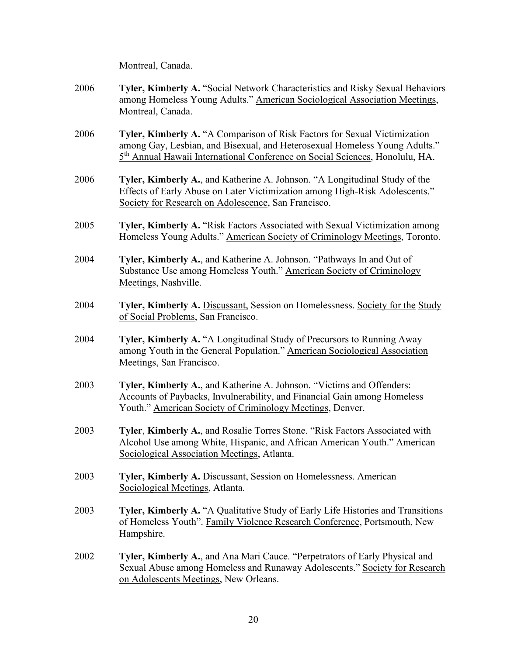Montreal, Canada.

| 2006 | <b>Tyler, Kimberly A. "Social Network Characteristics and Risky Sexual Behaviors</b> |
|------|--------------------------------------------------------------------------------------|
|      | among Homeless Young Adults." American Sociological Association Meetings,            |
|      | Montreal, Canada.                                                                    |

- 2006 **Tyler, Kimberly A.** "A Comparison of Risk Factors for Sexual Victimization among Gay, Lesbian, and Bisexual, and Heterosexual Homeless Young Adults." 5th Annual Hawaii International Conference on Social Sciences, Honolulu, HA.
- 2006 **Tyler, Kimberly A.**, and Katherine A. Johnson. "A Longitudinal Study of the Effects of Early Abuse on Later Victimization among High-Risk Adolescents." Society for Research on Adolescence, San Francisco.
- 2005 **Tyler, Kimberly A.** "Risk Factors Associated with Sexual Victimization among Homeless Young Adults." American Society of Criminology Meetings, Toronto.
- 2004 **Tyler, Kimberly A.**, and Katherine A. Johnson. "Pathways In and Out of Substance Use among Homeless Youth." American Society of Criminology Meetings, Nashville.
- 2004 **Tyler, Kimberly A.** Discussant, Session on Homelessness. Society for the Study of Social Problems, San Francisco.
- 2004 **Tyler, Kimberly A.** "A Longitudinal Study of Precursors to Running Away among Youth in the General Population." American Sociological Association Meetings, San Francisco.
- 2003 **Tyler, Kimberly A.**, and Katherine A. Johnson. "Victims and Offenders: Accounts of Paybacks, Invulnerability, and Financial Gain among Homeless Youth." American Society of Criminology Meetings, Denver.
- 2003 **Tyler**, **Kimberly A.**, and Rosalie Torres Stone. "Risk Factors Associated with Alcohol Use among White, Hispanic, and African American Youth." American Sociological Association Meetings, Atlanta.
- 2003 **Tyler, Kimberly A.** Discussant, Session on Homelessness. American Sociological Meetings, Atlanta.
- 2003 **Tyler, Kimberly A.** "A Qualitative Study of Early Life Histories and Transitions of Homeless Youth". Family Violence Research Conference, Portsmouth, New Hampshire.
- 2002 **Tyler, Kimberly A.**, and Ana Mari Cauce. "Perpetrators of Early Physical and Sexual Abuse among Homeless and Runaway Adolescents." Society for Research on Adolescents Meetings, New Orleans.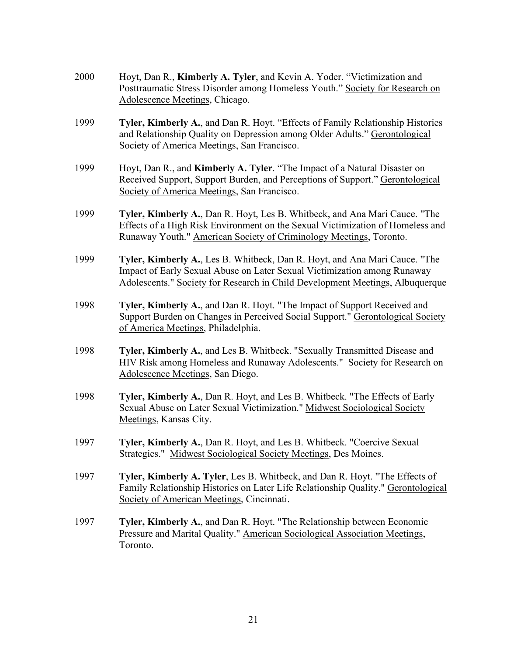| 2000 | Hoyt, Dan R., Kimberly A. Tyler, and Kevin A. Yoder. "Victimization and<br>Posttraumatic Stress Disorder among Homeless Youth." Society for Research on<br>Adolescence Meetings, Chicago.                                               |
|------|-----------------------------------------------------------------------------------------------------------------------------------------------------------------------------------------------------------------------------------------|
| 1999 | <b>Tyler, Kimberly A., and Dan R. Hoyt. "Effects of Family Relationship Histories</b><br>and Relationship Quality on Depression among Older Adults." Gerontological<br>Society of America Meetings, San Francisco.                      |
| 1999 | Hoyt, Dan R., and Kimberly A. Tyler. "The Impact of a Natural Disaster on<br>Received Support, Support Burden, and Perceptions of Support." Gerontological<br>Society of America Meetings, San Francisco.                               |
| 1999 | Tyler, Kimberly A., Dan R. Hoyt, Les B. Whitbeck, and Ana Mari Cauce. "The<br>Effects of a High Risk Environment on the Sexual Victimization of Homeless and<br>Runaway Youth." American Society of Criminology Meetings, Toronto.      |
| 1999 | Tyler, Kimberly A., Les B. Whitbeck, Dan R. Hoyt, and Ana Mari Cauce. "The<br>Impact of Early Sexual Abuse on Later Sexual Victimization among Runaway<br>Adolescents." Society for Research in Child Development Meetings, Albuquerque |
| 1998 | Tyler, Kimberly A., and Dan R. Hoyt. "The Impact of Support Received and<br>Support Burden on Changes in Perceived Social Support." Gerontological Society<br>of America Meetings, Philadelphia.                                        |
| 1998 | Tyler, Kimberly A., and Les B. Whitbeck. "Sexually Transmitted Disease and<br>HIV Risk among Homeless and Runaway Adolescents." Society for Research on<br>Adolescence Meetings, San Diego.                                             |
| 1998 | Tyler, Kimberly A., Dan R. Hoyt, and Les B. Whitbeck. "The Effects of Early<br>Sexual Abuse on Later Sexual Victimization." Midwest Sociological Society<br>Meetings, Kansas City.                                                      |
| 1997 | Tyler, Kimberly A., Dan R. Hoyt, and Les B. Whitbeck. "Coercive Sexual<br>Strategies." Midwest Sociological Society Meetings, Des Moines.                                                                                               |
| 1997 | Tyler, Kimberly A. Tyler, Les B. Whitbeck, and Dan R. Hoyt. "The Effects of<br>Family Relationship Histories on Later Life Relationship Quality." Gerontological<br>Society of American Meetings, Cincinnati.                           |
| 1997 | Tyler, Kimberly A., and Dan R. Hoyt. "The Relationship between Economic<br>Pressure and Marital Quality." American Sociological Association Meetings,<br>Toronto.                                                                       |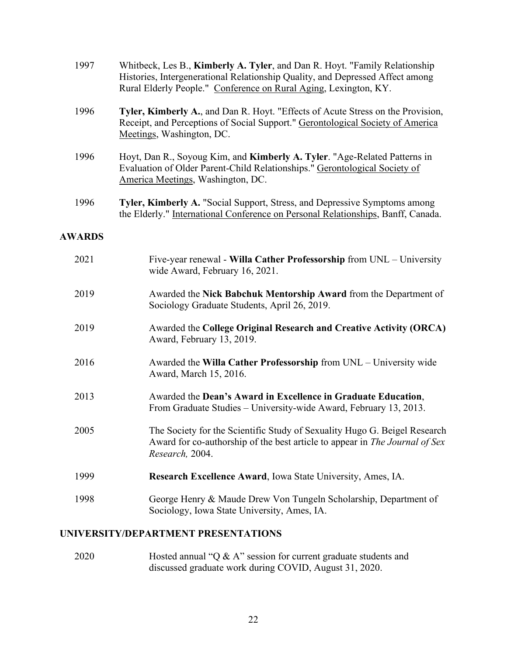| 1997          | Whitbeck, Les B., Kimberly A. Tyler, and Dan R. Hoyt. "Family Relationship<br>Histories, Intergenerational Relationship Quality, and Depressed Affect among<br>Rural Elderly People." Conference on Rural Aging, Lexington, KY. |
|---------------|---------------------------------------------------------------------------------------------------------------------------------------------------------------------------------------------------------------------------------|
| 1996          | Tyler, Kimberly A., and Dan R. Hoyt. "Effects of Acute Stress on the Provision,<br>Receipt, and Perceptions of Social Support." Gerontological Society of America<br>Meetings, Washington, DC.                                  |
| 1996          | Hoyt, Dan R., Soyoug Kim, and Kimberly A. Tyler. "Age-Related Patterns in<br>Evaluation of Older Parent-Child Relationships." Gerontological Society of<br>America Meetings, Washington, DC.                                    |
| 1996          | Tyler, Kimberly A. "Social Support, Stress, and Depressive Symptoms among<br>the Elderly." International Conference on Personal Relationships, Banff, Canada.                                                                   |
| <b>AWARDS</b> |                                                                                                                                                                                                                                 |
| 2021          | Five-year renewal - Willa Cather Professorship from UNL - University<br>wide Award, February 16, 2021.                                                                                                                          |
| 2019          | Awarded the Nick Babchuk Mentorship Award from the Department of<br>Sociology Graduate Students, April 26, 2019.                                                                                                                |
| 2019          | Awarded the College Original Research and Creative Activity (ORCA)<br>Award, February 13, 2019.                                                                                                                                 |
| 2016          | Awarded the Willa Cather Professorship from UNL - University wide<br>Award, March 15, 2016.                                                                                                                                     |
| 2013          | Awarded the Dean's Award in Excellence in Graduate Education,                                                                                                                                                                   |

- From Graduate Studies University-wide Award, February 13, 2013.
- 2005 The Society for the Scientific Study of Sexuality Hugo G. Beigel Research Award for co-authorship of the best article to appear in *The Journal of Sex Research,* 2004.
- 1999 **Research Excellence Award**, Iowa State University, Ames, IA.
- 1998 George Henry & Maude Drew Von Tungeln Scholarship, Department of Sociology, Iowa State University, Ames, IA.

# **UNIVERSITY/DEPARTMENT PRESENTATIONS**

2020 Hosted annual "Q & A" session for current graduate students and discussed graduate work during COVID, August 31, 2020.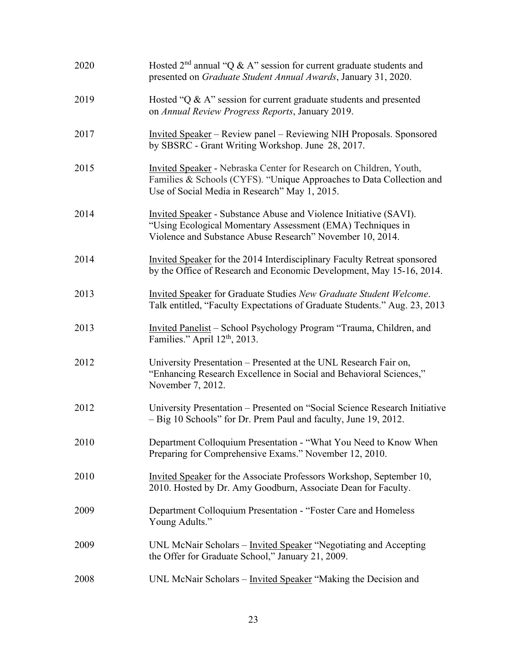| 2020 | Hosted $2nd$ annual "Q & A" session for current graduate students and<br>presented on Graduate Student Annual Awards, January 31, 2020.                                                      |
|------|----------------------------------------------------------------------------------------------------------------------------------------------------------------------------------------------|
| 2019 | Hosted "Q & A" session for current graduate students and presented<br>on Annual Review Progress Reports, January 2019.                                                                       |
| 2017 | <u>Invited Speaker</u> – Review panel – Reviewing NIH Proposals. Sponsored<br>by SBSRC - Grant Writing Workshop. June 28, 2017.                                                              |
| 2015 | Invited Speaker - Nebraska Center for Research on Children, Youth,<br>Families & Schools (CYFS). "Unique Approaches to Data Collection and<br>Use of Social Media in Research" May 1, 2015.  |
| 2014 | Invited Speaker - Substance Abuse and Violence Initiative (SAVI).<br>"Using Ecological Momentary Assessment (EMA) Techniques in<br>Violence and Substance Abuse Research" November 10, 2014. |
| 2014 | Invited Speaker for the 2014 Interdisciplinary Faculty Retreat sponsored<br>by the Office of Research and Economic Development, May 15-16, 2014.                                             |
| 2013 | Invited Speaker for Graduate Studies New Graduate Student Welcome.<br>Talk entitled, "Faculty Expectations of Graduate Students." Aug. 23, 2013                                              |
| 2013 | Invited Panelist – School Psychology Program "Trauma, Children, and<br>Families." April 12 <sup>th</sup> , 2013.                                                                             |
| 2012 | University Presentation – Presented at the UNL Research Fair on,<br>"Enhancing Research Excellence in Social and Behavioral Sciences,"<br>November 7, 2012.                                  |
| 2012 | University Presentation - Presented on "Social Science Research Initiative<br>- Big 10 Schools" for Dr. Prem Paul and faculty, June 19, 2012.                                                |
| 2010 | Department Colloquium Presentation - "What You Need to Know When<br>Preparing for Comprehensive Exams." November 12, 2010.                                                                   |
| 2010 | Invited Speaker for the Associate Professors Workshop, September 10,<br>2010. Hosted by Dr. Amy Goodburn, Associate Dean for Faculty.                                                        |
| 2009 | Department Colloquium Presentation - "Foster Care and Homeless<br>Young Adults."                                                                                                             |
| 2009 | UNL McNair Scholars – Invited Speaker "Negotiating and Accepting<br>the Offer for Graduate School," January 21, 2009.                                                                        |
| 2008 | UNL McNair Scholars – Invited Speaker "Making the Decision and                                                                                                                               |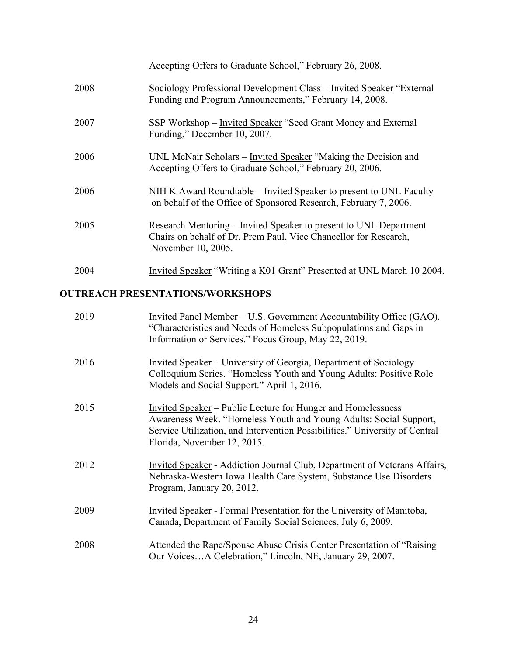|      | Accepting Offers to Graduate School," February 26, 2008.                                                                                                    |
|------|-------------------------------------------------------------------------------------------------------------------------------------------------------------|
| 2008 | Sociology Professional Development Class – Invited Speaker "External<br>Funding and Program Announcements," February 14, 2008.                              |
| 2007 | SSP Workshop – Invited Speaker "Seed Grant Money and External<br>Funding," December 10, 2007.                                                               |
| 2006 | UNL McNair Scholars – Invited Speaker "Making the Decision and<br>Accepting Offers to Graduate School," February 20, 2006.                                  |
| 2006 | NIH K Award Roundtable – Invited Speaker to present to UNL Faculty<br>on behalf of the Office of Sponsored Research, February 7, 2006.                      |
| 2005 | Research Mentoring - Invited Speaker to present to UNL Department<br>Chairs on behalf of Dr. Prem Paul, Vice Chancellor for Research,<br>November 10, 2005. |
| 2004 | Invited Speaker "Writing a K01 Grant" Presented at UNL March 10 2004.                                                                                       |

# **OUTREACH PRESENTATIONS/WORKSHOPS**

| 2019 | Invited Panel Member – U.S. Government Accountability Office (GAO).<br>"Characteristics and Needs of Homeless Subpopulations and Gaps in<br>Information or Services." Focus Group, May 22, 2019.                                                       |
|------|--------------------------------------------------------------------------------------------------------------------------------------------------------------------------------------------------------------------------------------------------------|
| 2016 | <u>Invited Speaker</u> – University of Georgia, Department of Sociology<br>Colloquium Series. "Homeless Youth and Young Adults: Positive Role<br>Models and Social Support." April 1, 2016.                                                            |
| 2015 | <b>Invited Speaker</b> – Public Lecture for Hunger and Homelessness<br>Awareness Week. "Homeless Youth and Young Adults: Social Support,<br>Service Utilization, and Intervention Possibilities." University of Central<br>Florida, November 12, 2015. |
| 2012 | <b>Invited Speaker</b> - Addiction Journal Club, Department of Veterans Affairs,<br>Nebraska-Western Iowa Health Care System, Substance Use Disorders<br>Program, January 20, 2012.                                                                    |
| 2009 | <b>Invited Speaker</b> - Formal Presentation for the University of Manitoba,<br>Canada, Department of Family Social Sciences, July 6, 2009.                                                                                                            |
| 2008 | Attended the Rape/Spouse Abuse Crisis Center Presentation of "Raising"<br>Our VoicesA Celebration," Lincoln, NE, January 29, 2007.                                                                                                                     |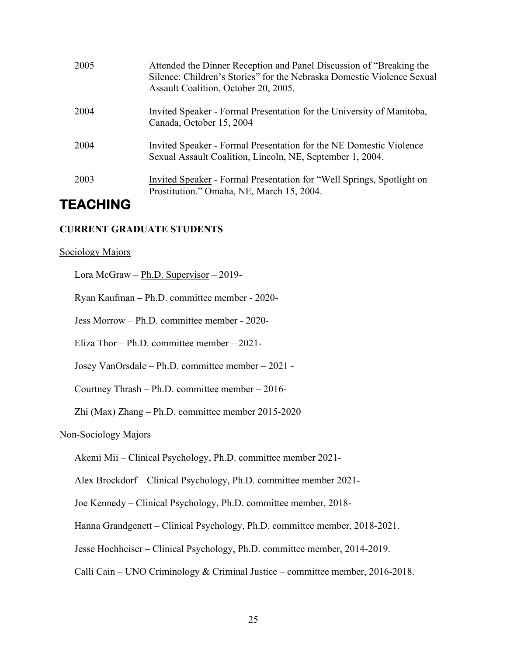| 2005 | Attended the Dinner Reception and Panel Discussion of "Breaking the<br>Silence: Children's Stories" for the Nebraska Domestic Violence Sexual<br>Assault Coalition, October 20, 2005. |
|------|---------------------------------------------------------------------------------------------------------------------------------------------------------------------------------------|
| 2004 | Invited Speaker - Formal Presentation for the University of Manitoba,<br>Canada, October 15, 2004                                                                                     |
| 2004 | Invited Speaker - Formal Presentation for the NE Domestic Violence<br>Sexual Assault Coalition, Lincoln, NE, September 1, 2004.                                                       |
| 2003 | Invited Speaker - Formal Presentation for "Well Springs, Spotlight on<br>Prostitution." Omaha, NE, March 15, 2004.                                                                    |

# **TEACHING**

### **CURRENT GRADUATE STUDENTS**

#### Sociology Majors

Lora McGraw – Ph.D. Supervisor – 2019-

Ryan Kaufman – Ph.D. committee member - 2020-

Jess Morrow – Ph.D. committee member - 2020-

Eliza Thor – Ph.D. committee member – 2021-

Josey VanOrsdale – Ph.D. committee member – 2021 -

Courtney Thrash – Ph.D. committee member – 2016-

Zhi (Max) Zhang – Ph.D. committee member 2015-2020

#### Non-Sociology Majors

Akemi Mii – Clinical Psychology, Ph.D. committee member 2021-

Alex Brockdorf – Clinical Psychology, Ph.D. committee member 2021-

Joe Kennedy – Clinical Psychology, Ph.D. committee member, 2018-

Hanna Grandgenett – Clinical Psychology, Ph.D. committee member, 2018-2021.

Jesse Hochheiser – Clinical Psychology, Ph.D. committee member, 2014-2019.

Calli Cain – UNO Criminology & Criminal Justice – committee member, 2016-2018.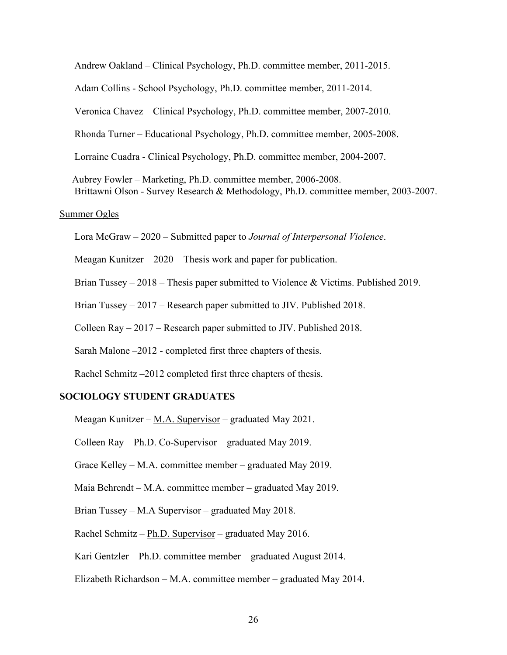Andrew Oakland – Clinical Psychology, Ph.D. committee member, 2011-2015.

Adam Collins - School Psychology, Ph.D. committee member, 2011-2014.

Veronica Chavez – Clinical Psychology, Ph.D. committee member, 2007-2010.

Rhonda Turner – Educational Psychology, Ph.D. committee member, 2005-2008.

Lorraine Cuadra - Clinical Psychology, Ph.D. committee member, 2004-2007.

 Aubrey Fowler – Marketing, Ph.D. committee member, 2006-2008. Brittawni Olson - Survey Research & Methodology, Ph.D. committee member, 2003-2007.

#### Summer Ogles

Lora McGraw – 2020 – Submitted paper to *Journal of Interpersonal Violence*.

Meagan Kunitzer – 2020 – Thesis work and paper for publication.

Brian Tussey – 2018 – Thesis paper submitted to Violence & Victims. Published 2019.

Brian Tussey – 2017 – Research paper submitted to JIV. Published 2018.

Colleen Ray – 2017 – Research paper submitted to JIV. Published 2018.

Sarah Malone –2012 - completed first three chapters of thesis.

Rachel Schmitz –2012 completed first three chapters of thesis.

#### **SOCIOLOGY STUDENT GRADUATES**

Meagan Kunitzer – M.A. Supervisor – graduated May 2021.

Colleen Ray –  $Ph.D. Co-Supervisor$  – graduated May 2019.

Grace Kelley – M.A. committee member – graduated May 2019.

Maia Behrendt – M.A. committee member – graduated May 2019.

Brian Tussey – M.A Supervisor – graduated May 2018.

Rachel Schmitz – Ph.D. Supervisor – graduated May 2016.

Kari Gentzler – Ph.D. committee member – graduated August 2014.

Elizabeth Richardson – M.A. committee member – graduated May 2014.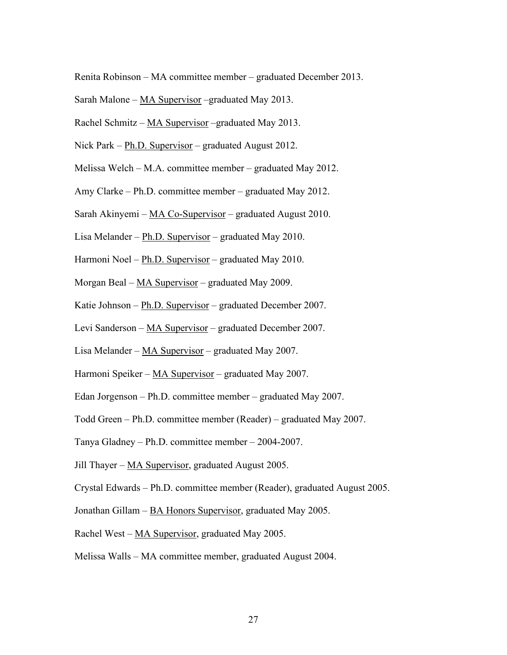Renita Robinson – MA committee member – graduated December 2013.

- Sarah Malone  $MA$  Supervisor –graduated May 2013.
- Rachel Schmitz MA Supervisor graduated May 2013.
- Nick Park Ph.D. Supervisor graduated August 2012.
- Melissa Welch M.A. committee member graduated May 2012.
- Amy Clarke Ph.D. committee member graduated May 2012.
- Sarah Akinyemi  $MA Co-Supervisor$  graduated August 2010.
- Lisa Melander Ph.D. Supervisor graduated May 2010.
- Harmoni Noel Ph.D. Supervisor graduated May 2010.
- Morgan Beal MA Supervisor graduated May 2009.
- Katie Johnson Ph.D. Supervisor graduated December 2007.
- Levi Sanderson MA Supervisor graduated December 2007.
- Lisa Melander MA Supervisor graduated May 2007.
- Harmoni Speiker MA Supervisor graduated May 2007.
- Edan Jorgenson Ph.D. committee member graduated May 2007.
- Todd Green Ph.D. committee member (Reader) graduated May 2007.
- Tanya Gladney Ph.D. committee member 2004-2007.
- Jill Thayer MA Supervisor, graduated August 2005.
- Crystal Edwards Ph.D. committee member (Reader), graduated August 2005.
- Jonathan Gillam BA Honors Supervisor, graduated May 2005.
- Rachel West MA Supervisor, graduated May 2005.
- Melissa Walls MA committee member, graduated August 2004.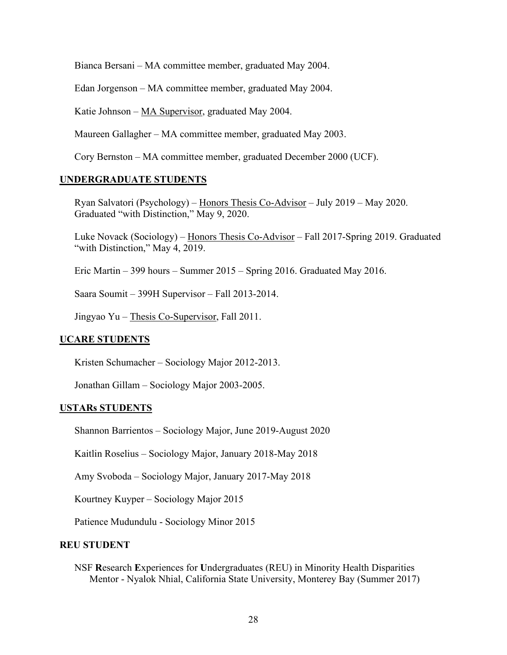Bianca Bersani – MA committee member, graduated May 2004.

Edan Jorgenson – MA committee member, graduated May 2004.

Katie Johnson – MA Supervisor, graduated May 2004.

Maureen Gallagher – MA committee member, graduated May 2003.

Cory Bernston – MA committee member, graduated December 2000 (UCF).

#### **UNDERGRADUATE STUDENTS**

Ryan Salvatori (Psychology) – Honors Thesis Co-Advisor – July 2019 – May 2020. Graduated "with Distinction," May 9, 2020.

Luke Novack (Sociology) – Honors Thesis Co-Advisor – Fall 2017-Spring 2019. Graduated "with Distinction," May 4, 2019.

Eric Martin – 399 hours – Summer 2015 – Spring 2016. Graduated May 2016.

Saara Soumit – 399H Supervisor – Fall 2013-2014.

Jingyao Yu – Thesis Co-Supervisor, Fall 2011.

#### **UCARE STUDENTS**

Kristen Schumacher – Sociology Major 2012-2013.

Jonathan Gillam – Sociology Major 2003-2005.

#### **USTARs STUDENTS**

Shannon Barrientos – Sociology Major, June 2019-August 2020

Kaitlin Roselius – Sociology Major, January 2018-May 2018

Amy Svoboda – Sociology Major, January 2017-May 2018

Kourtney Kuyper – Sociology Major 2015

Patience Mudundulu - Sociology Minor 2015

#### **REU STUDENT**

NSF **R**esearch **E**xperiences for **U**ndergraduates (REU) in Minority Health Disparities Mentor - Nyalok Nhial, California State University, Monterey Bay (Summer 2017)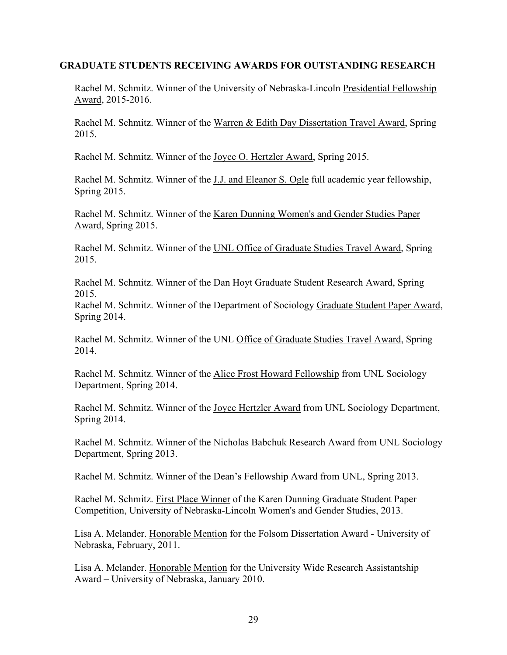#### **GRADUATE STUDENTS RECEIVING AWARDS FOR OUTSTANDING RESEARCH**

Rachel M. Schmitz. Winner of the University of Nebraska-Lincoln Presidential Fellowship Award, 2015-2016.

Rachel M. Schmitz. Winner of the Warren & Edith Day Dissertation Travel Award, Spring 2015.

Rachel M. Schmitz. Winner of the Joyce O. Hertzler Award, Spring 2015.

Rachel M. Schmitz. Winner of the J.J. and Eleanor S. Ogle full academic year fellowship, Spring 2015.

Rachel M. Schmitz. Winner of the Karen Dunning Women's and Gender Studies Paper Award, Spring 2015.

Rachel M. Schmitz. Winner of the UNL Office of Graduate Studies Travel Award, Spring 2015.

Rachel M. Schmitz. Winner of the Dan Hoyt Graduate Student Research Award, Spring 2015.

Rachel M. Schmitz. Winner of the Department of Sociology Graduate Student Paper Award, Spring 2014.

Rachel M. Schmitz. Winner of the UNL Office of Graduate Studies Travel Award, Spring 2014.

Rachel M. Schmitz. Winner of the Alice Frost Howard Fellowship from UNL Sociology Department, Spring 2014.

Rachel M. Schmitz. Winner of the Joyce Hertzler Award from UNL Sociology Department, Spring 2014.

Rachel M. Schmitz. Winner of the Nicholas Babchuk Research Award from UNL Sociology Department, Spring 2013.

Rachel M. Schmitz. Winner of the Dean's Fellowship Award from UNL, Spring 2013.

Rachel M. Schmitz. First Place Winner of the Karen Dunning Graduate Student Paper Competition, University of Nebraska-Lincoln Women's and Gender Studies, 2013.

Lisa A. Melander. Honorable Mention for the Folsom Dissertation Award - University of Nebraska, February, 2011.

Lisa A. Melander. Honorable Mention for the University Wide Research Assistantship Award – University of Nebraska, January 2010.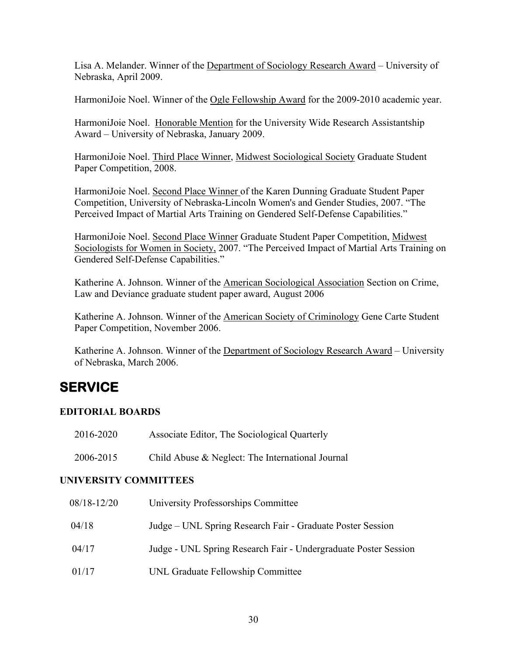Lisa A. Melander. Winner of the Department of Sociology Research Award – University of Nebraska, April 2009.

HarmoniJoie Noel. Winner of the Ogle Fellowship Award for the 2009-2010 academic year.

HarmoniJoie Noel. Honorable Mention for the University Wide Research Assistantship Award – University of Nebraska, January 2009.

HarmoniJoie Noel. Third Place Winner, Midwest Sociological Society Graduate Student Paper Competition, 2008.

HarmoniJoie Noel. Second Place Winner of the Karen Dunning Graduate Student Paper Competition, University of Nebraska-Lincoln Women's and Gender Studies, 2007. "The Perceived Impact of Martial Arts Training on Gendered Self-Defense Capabilities."

HarmoniJoie Noel. Second Place Winner Graduate Student Paper Competition, Midwest Sociologists for Women in Society, 2007. "The Perceived Impact of Martial Arts Training on Gendered Self-Defense Capabilities."

Katherine A. Johnson. Winner of the American Sociological Association Section on Crime, Law and Deviance graduate student paper award, August 2006

Katherine A. Johnson. Winner of the American Society of Criminology Gene Carte Student Paper Competition, November 2006.

Katherine A. Johnson. Winner of the Department of Sociology Research Award – University of Nebraska, March 2006.

# **SERVICE**

# **EDITORIAL BOARDS**

| 2016-2020 | Associate Editor, The Sociological Quarterly     |
|-----------|--------------------------------------------------|
| 2006-2015 | Child Abuse & Neglect: The International Journal |

# **UNIVERSITY COMMITTEES**

| 08/18-12/20 | University Professorships Committee                             |
|-------------|-----------------------------------------------------------------|
| 04/18       | Judge – UNL Spring Research Fair - Graduate Poster Session      |
| 04/17       | Judge - UNL Spring Research Fair - Undergraduate Poster Session |
| 01/17       | UNL Graduate Fellowship Committee                               |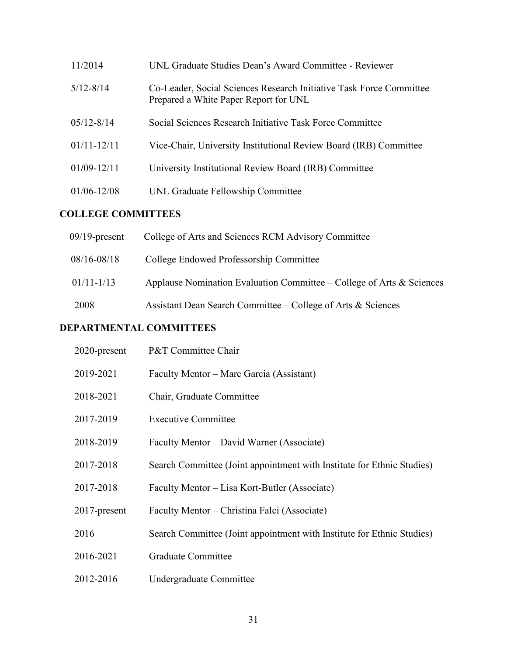| 11/2014         | UNL Graduate Studies Dean's Award Committee - Reviewer                                                       |
|-----------------|--------------------------------------------------------------------------------------------------------------|
| $5/12 - 8/14$   | Co-Leader, Social Sciences Research Initiative Task Force Committee<br>Prepared a White Paper Report for UNL |
| $05/12 - 8/14$  | Social Sciences Research Initiative Task Force Committee                                                     |
| $01/11 - 12/11$ | Vice-Chair, University Institutional Review Board (IRB) Committee                                            |
| $01/09 - 12/11$ | University Institutional Review Board (IRB) Committee                                                        |
| $01/06 - 12/08$ | UNL Graduate Fellowship Committee                                                                            |

# **COLLEGE COMMITTEES**

| $09/19$ -present | College of Arts and Sciences RCM Advisory Committee                   |
|------------------|-----------------------------------------------------------------------|
| $08/16 - 08/18$  | College Endowed Professorship Committee                               |
| $01/11 - 1/13$   | Applause Nomination Evaluation Committee – College of Arts & Sciences |
| 2008             | Assistant Dean Search Committee – College of Arts $\&$ Sciences       |

# **DEPARTMENTAL COMMITTEES**

| 2020-present    | P&T Committee Chair                                                    |
|-----------------|------------------------------------------------------------------------|
| 2019-2021       | Faculty Mentor – Marc Garcia (Assistant)                               |
| 2018-2021       | Chair, Graduate Committee                                              |
| 2017-2019       | <b>Executive Committee</b>                                             |
| 2018-2019       | Faculty Mentor – David Warner (Associate)                              |
| 2017-2018       | Search Committee (Joint appointment with Institute for Ethnic Studies) |
| 2017-2018       | Faculty Mentor – Lisa Kort-Butler (Associate)                          |
| $2017$ -present | Faculty Mentor – Christina Falci (Associate)                           |
| 2016            | Search Committee (Joint appointment with Institute for Ethnic Studies) |
| 2016-2021       | <b>Graduate Committee</b>                                              |
| 2012-2016       | Undergraduate Committee                                                |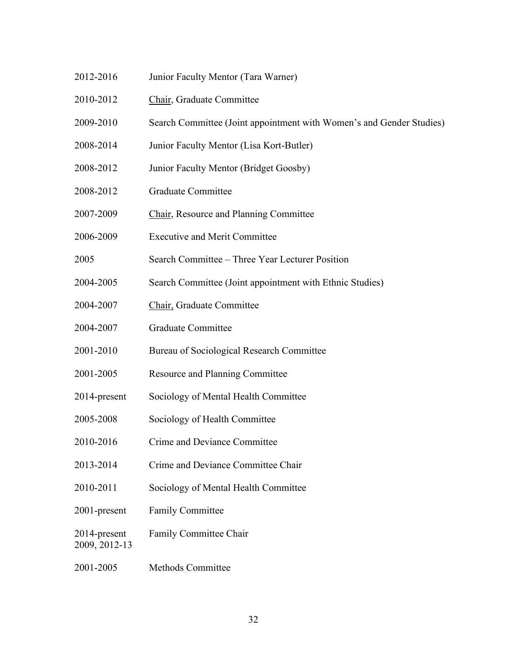- 2012-2016 Junior Faculty Mentor (Tara Warner)
- 2010-2012 Chair, Graduate Committee
- 2009-2010 Search Committee (Joint appointment with Women's and Gender Studies)
- 2008-2014 Junior Faculty Mentor (Lisa Kort-Butler)
- 2008-2012 Junior Faculty Mentor (Bridget Goosby)
- 2008-2012 Graduate Committee
- 2007-2009 Chair, Resource and Planning Committee
- 2006-2009 Executive and Merit Committee
- 2005 Search Committee Three Year Lecturer Position
- 2004-2005 Search Committee (Joint appointment with Ethnic Studies)
- 2004-2007 Chair, Graduate Committee
- 2004-2007 Graduate Committee
- 2001-2010 Bureau of Sociological Research Committee
- 2001-2005 Resource and Planning Committee
- 2014-present Sociology of Mental Health Committee
- 2005-2008 Sociology of Health Committee
- 2010-2016 Crime and Deviance Committee
- 2013-2014 Crime and Deviance Committee Chair
- 2010-2011 Sociology of Mental Health Committee
- 2001-present Family Committee
- 2014-present Family Committee Chair

2009, 2012-13

2001-2005 Methods Committee